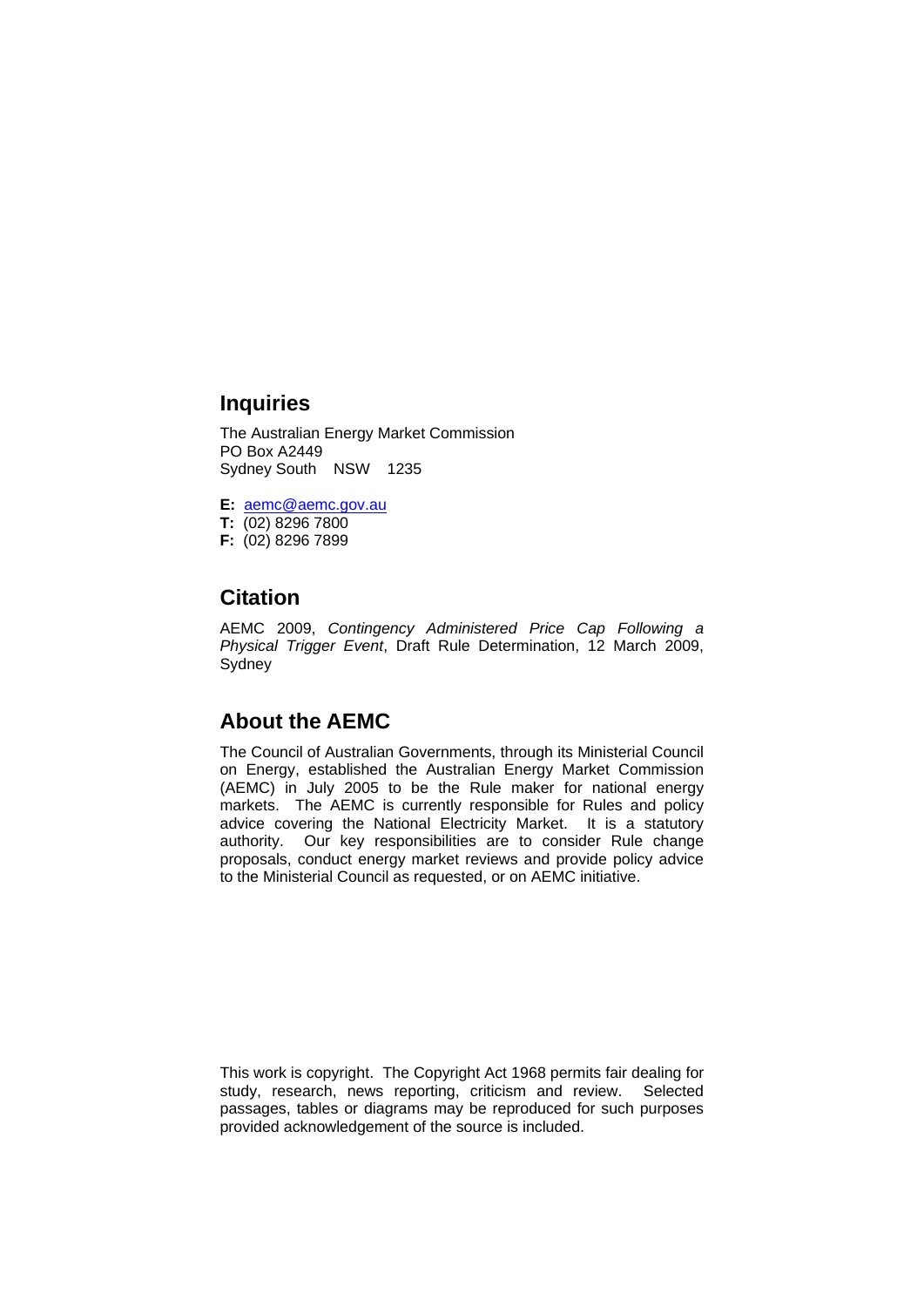## **Inquiries**

The Australian Energy Market Commission PO Box A2449 Sydney South NSW 1235

**E:** aemc@aemc.gov.au **T:** (02) 8296 7800

**F:** (02) 8296 7899

# **Citation**

AEMC 2009, *Contingency Administered Price Cap Following a Physical Trigger Event*, Draft Rule Determination, 12 March 2009, **Sydney** 

## **About the AEMC**

The Council of Australian Governments, through its Ministerial Council on Energy, established the Australian Energy Market Commission (AEMC) in July 2005 to be the Rule maker for national energy markets. The AEMC is currently responsible for Rules and policy advice covering the National Electricity Market. It is a statutory authority. Our key responsibilities are to consider Rule change proposals, conduct energy market reviews and provide policy advice to the Ministerial Council as requested, or on AEMC initiative.

This work is copyright. The Copyright Act 1968 permits fair dealing for study, research, news reporting, criticism and review. Selected passages, tables or diagrams may be reproduced for such purposes provided acknowledgement of the source is included.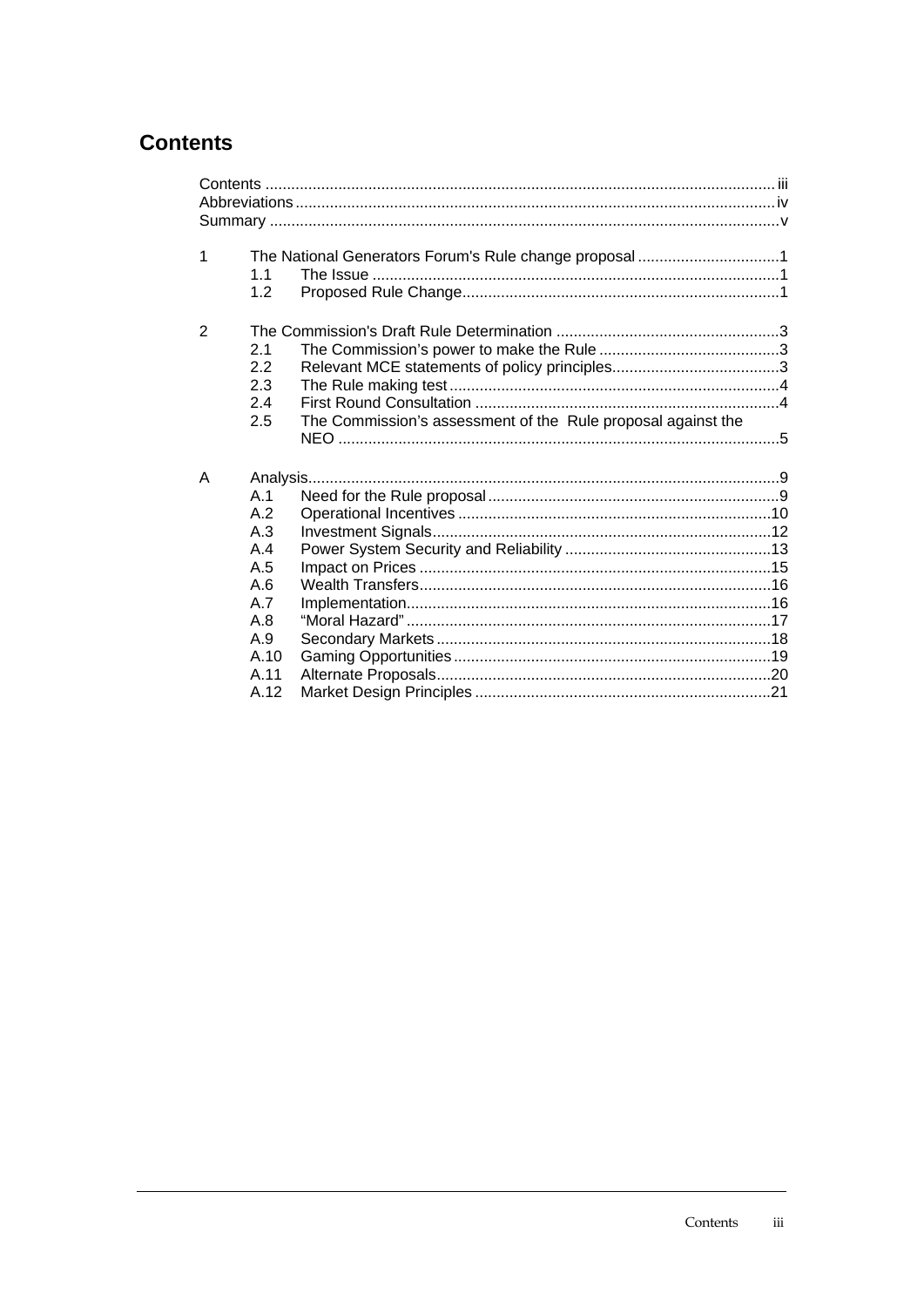# **Contents**

| 1              | 11<br>1.2                                                                                        | The National Generators Forum's Rule change proposal 1       |  |
|----------------|--------------------------------------------------------------------------------------------------|--------------------------------------------------------------|--|
| $\overline{2}$ | 2.1<br>2.2<br>2.3<br>2.4<br>2.5                                                                  | The Commission's assessment of the Rule proposal against the |  |
| A              | Analysis.<br>A.1<br>A.2<br>A.3<br>A.4<br>A.5<br>A.6<br>A.7<br>A.8<br>A.9<br>A.10<br>A.11<br>A.12 |                                                              |  |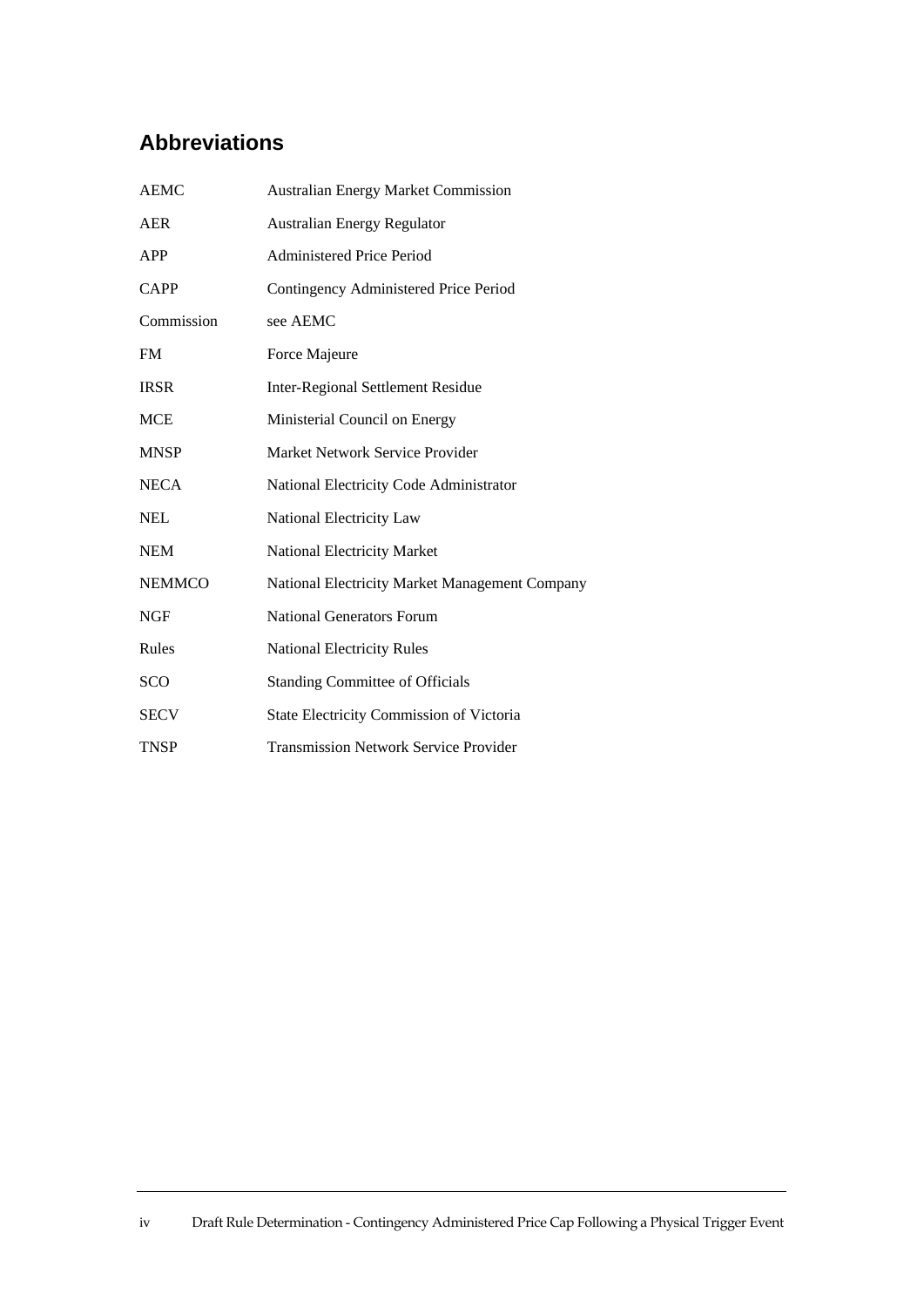# **Abbreviations**

| <b>AEMC</b>   | <b>Australian Energy Market Commission</b>     |
|---------------|------------------------------------------------|
| <b>AER</b>    | <b>Australian Energy Regulator</b>             |
| <b>APP</b>    | <b>Administered Price Period</b>               |
| <b>CAPP</b>   | Contingency Administered Price Period          |
| Commission    | see AEMC                                       |
| <b>FM</b>     | Force Majeure                                  |
| <b>IRSR</b>   | <b>Inter-Regional Settlement Residue</b>       |
| <b>MCE</b>    | Ministerial Council on Energy                  |
| <b>MNSP</b>   | Market Network Service Provider                |
| <b>NECA</b>   | National Electricity Code Administrator        |
| <b>NEL</b>    | National Electricity Law                       |
| <b>NEM</b>    | <b>National Electricity Market</b>             |
| <b>NEMMCO</b> | National Electricity Market Management Company |
| <b>NGF</b>    | <b>National Generators Forum</b>               |
| Rules         | <b>National Electricity Rules</b>              |
| <b>SCO</b>    | <b>Standing Committee of Officials</b>         |
| <b>SECV</b>   | State Electricity Commission of Victoria       |
| <b>TNSP</b>   | <b>Transmission Network Service Provider</b>   |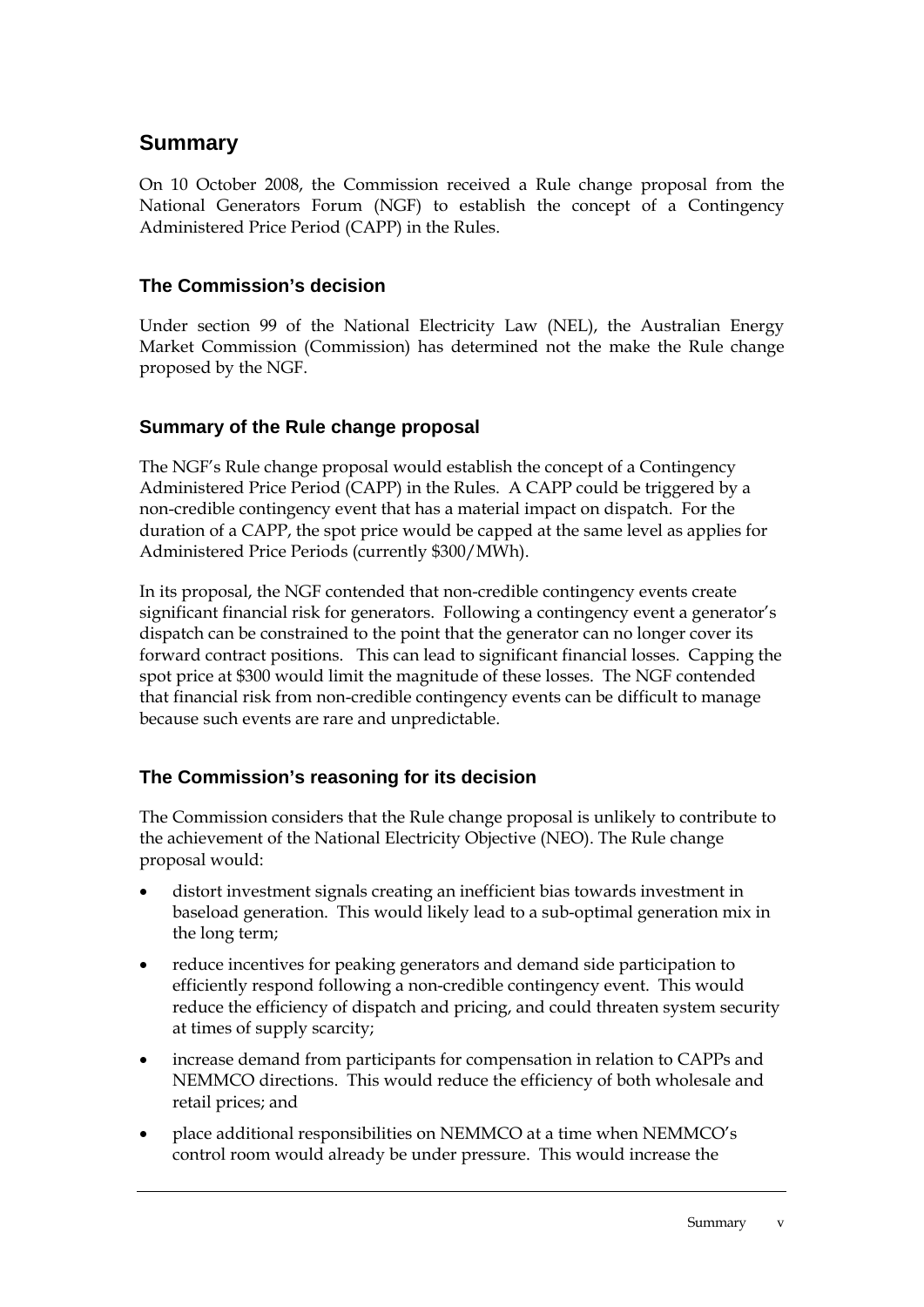# **Summary**

On 10 October 2008, the Commission received a Rule change proposal from the National Generators Forum (NGF) to establish the concept of a Contingency Administered Price Period (CAPP) in the Rules.

## **The Commission's decision**

Under section 99 of the National Electricity Law (NEL), the Australian Energy Market Commission (Commission) has determined not the make the Rule change proposed by the NGF.

## **Summary of the Rule change proposal**

The NGF's Rule change proposal would establish the concept of a Contingency Administered Price Period (CAPP) in the Rules. A CAPP could be triggered by a non-credible contingency event that has a material impact on dispatch. For the duration of a CAPP, the spot price would be capped at the same level as applies for Administered Price Periods (currently \$300/MWh).

In its proposal, the NGF contended that non-credible contingency events create significant financial risk for generators. Following a contingency event a generator's dispatch can be constrained to the point that the generator can no longer cover its forward contract positions. This can lead to significant financial losses. Capping the spot price at \$300 would limit the magnitude of these losses. The NGF contended that financial risk from non-credible contingency events can be difficult to manage because such events are rare and unpredictable.

## **The Commission's reasoning for its decision**

The Commission considers that the Rule change proposal is unlikely to contribute to the achievement of the National Electricity Objective (NEO). The Rule change proposal would:

- distort investment signals creating an inefficient bias towards investment in baseload generation. This would likely lead to a sub-optimal generation mix in the long term;
- reduce incentives for peaking generators and demand side participation to efficiently respond following a non-credible contingency event. This would reduce the efficiency of dispatch and pricing, and could threaten system security at times of supply scarcity;
- increase demand from participants for compensation in relation to CAPPs and NEMMCO directions. This would reduce the efficiency of both wholesale and retail prices; and
- place additional responsibilities on NEMMCO at a time when NEMMCO's control room would already be under pressure. This would increase the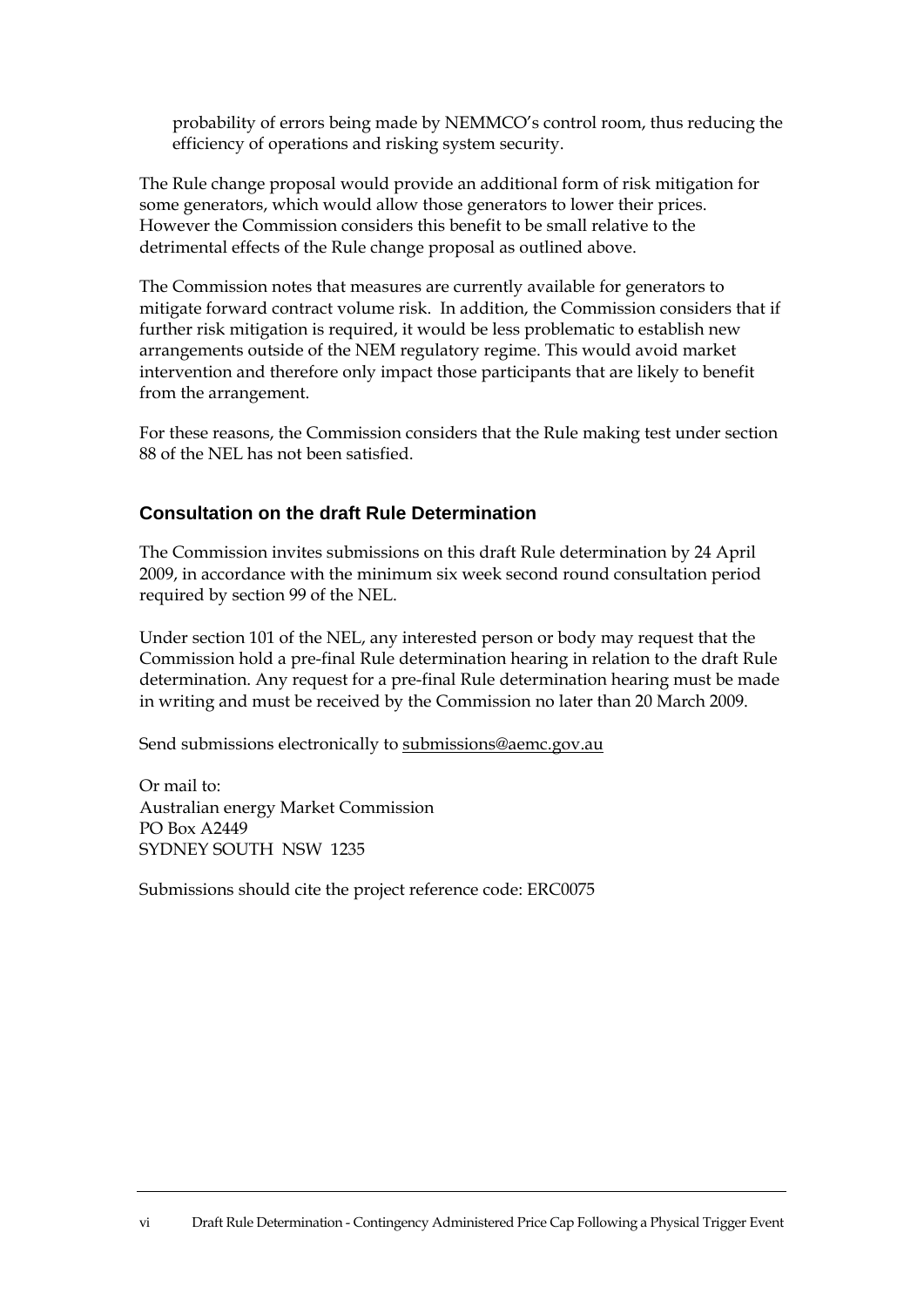probability of errors being made by NEMMCO's control room, thus reducing the efficiency of operations and risking system security.

The Rule change proposal would provide an additional form of risk mitigation for some generators, which would allow those generators to lower their prices. However the Commission considers this benefit to be small relative to the detrimental effects of the Rule change proposal as outlined above.

The Commission notes that measures are currently available for generators to mitigate forward contract volume risk. In addition, the Commission considers that if further risk mitigation is required, it would be less problematic to establish new arrangements outside of the NEM regulatory regime. This would avoid market intervention and therefore only impact those participants that are likely to benefit from the arrangement.

For these reasons, the Commission considers that the Rule making test under section 88 of the NEL has not been satisfied.

#### **Consultation on the draft Rule Determination**

The Commission invites submissions on this draft Rule determination by 24 April 2009, in accordance with the minimum six week second round consultation period required by section 99 of the NEL.

Under section 101 of the NEL, any interested person or body may request that the Commission hold a pre-final Rule determination hearing in relation to the draft Rule determination. Any request for a pre-final Rule determination hearing must be made in writing and must be received by the Commission no later than 20 March 2009.

Send submissions electronically to submissions@aemc.gov.au

Or mail to: Australian energy Market Commission PO Box A2449 SYDNEY SOUTH NSW 1235

Submissions should cite the project reference code: ERC0075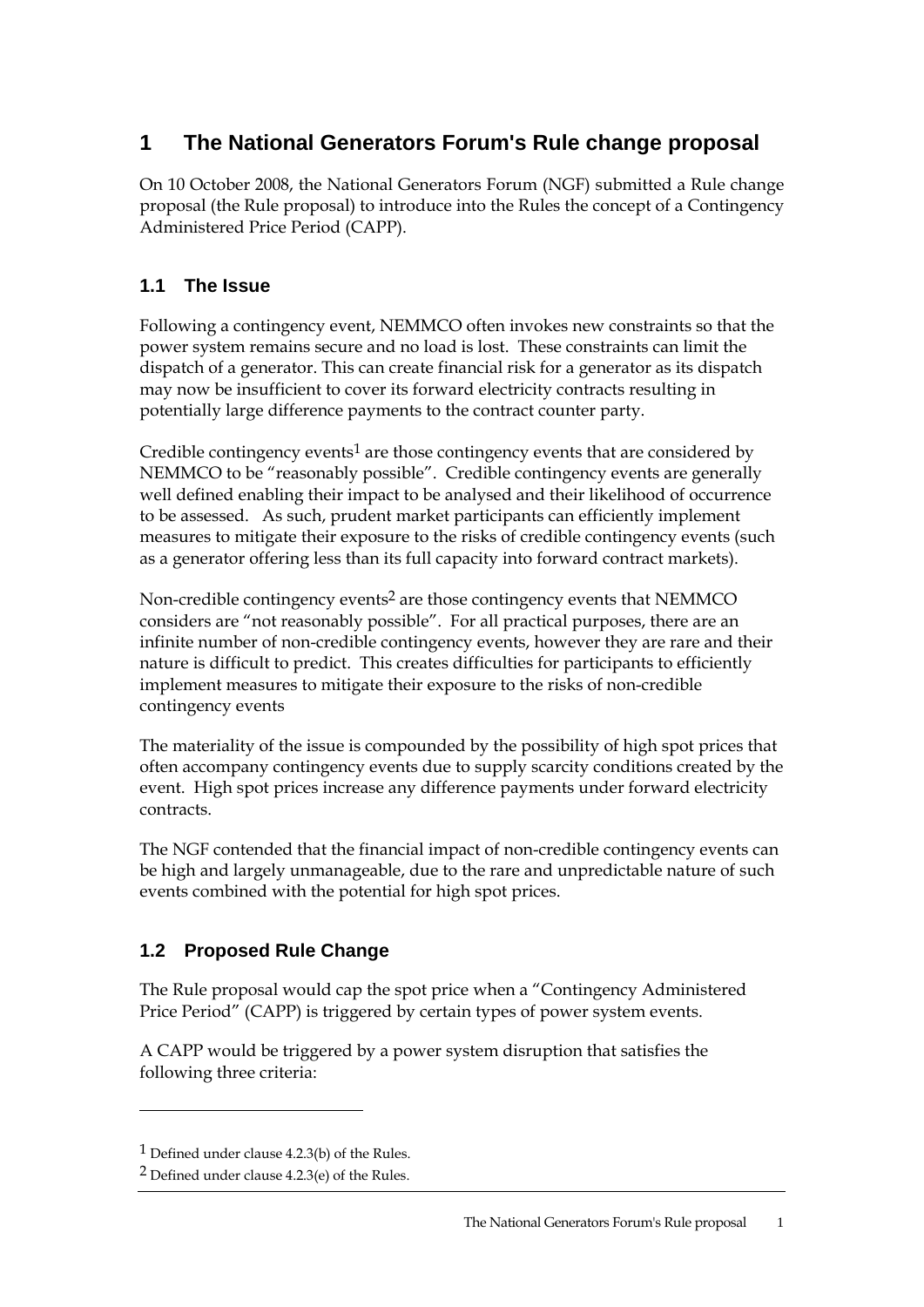# **1 The National Generators Forum's Rule change proposal**

On 10 October 2008, the National Generators Forum (NGF) submitted a Rule change proposal (the Rule proposal) to introduce into the Rules the concept of a Contingency Administered Price Period (CAPP).

# **1.1 The Issue**

Following a contingency event, NEMMCO often invokes new constraints so that the power system remains secure and no load is lost. These constraints can limit the dispatch of a generator. This can create financial risk for a generator as its dispatch may now be insufficient to cover its forward electricity contracts resulting in potentially large difference payments to the contract counter party.

Credible contingency events<sup>1</sup> are those contingency events that are considered by NEMMCO to be "reasonably possible". Credible contingency events are generally well defined enabling their impact to be analysed and their likelihood of occurrence to be assessed. As such, prudent market participants can efficiently implement measures to mitigate their exposure to the risks of credible contingency events (such as a generator offering less than its full capacity into forward contract markets).

Non-credible contingency events<sup>2</sup> are those contingency events that NEMMCO considers are "not reasonably possible". For all practical purposes, there are an infinite number of non-credible contingency events, however they are rare and their nature is difficult to predict. This creates difficulties for participants to efficiently implement measures to mitigate their exposure to the risks of non-credible contingency events

The materiality of the issue is compounded by the possibility of high spot prices that often accompany contingency events due to supply scarcity conditions created by the event. High spot prices increase any difference payments under forward electricity contracts.

The NGF contended that the financial impact of non-credible contingency events can be high and largely unmanageable, due to the rare and unpredictable nature of such events combined with the potential for high spot prices.

# **1.2 Proposed Rule Change**

The Rule proposal would cap the spot price when a "Contingency Administered Price Period" (CAPP) is triggered by certain types of power system events.

A CAPP would be triggered by a power system disruption that satisfies the following three criteria:

<u>.</u>

<sup>1</sup> Defined under clause 4.2.3(b) of the Rules.

<sup>2</sup> Defined under clause 4.2.3(e) of the Rules.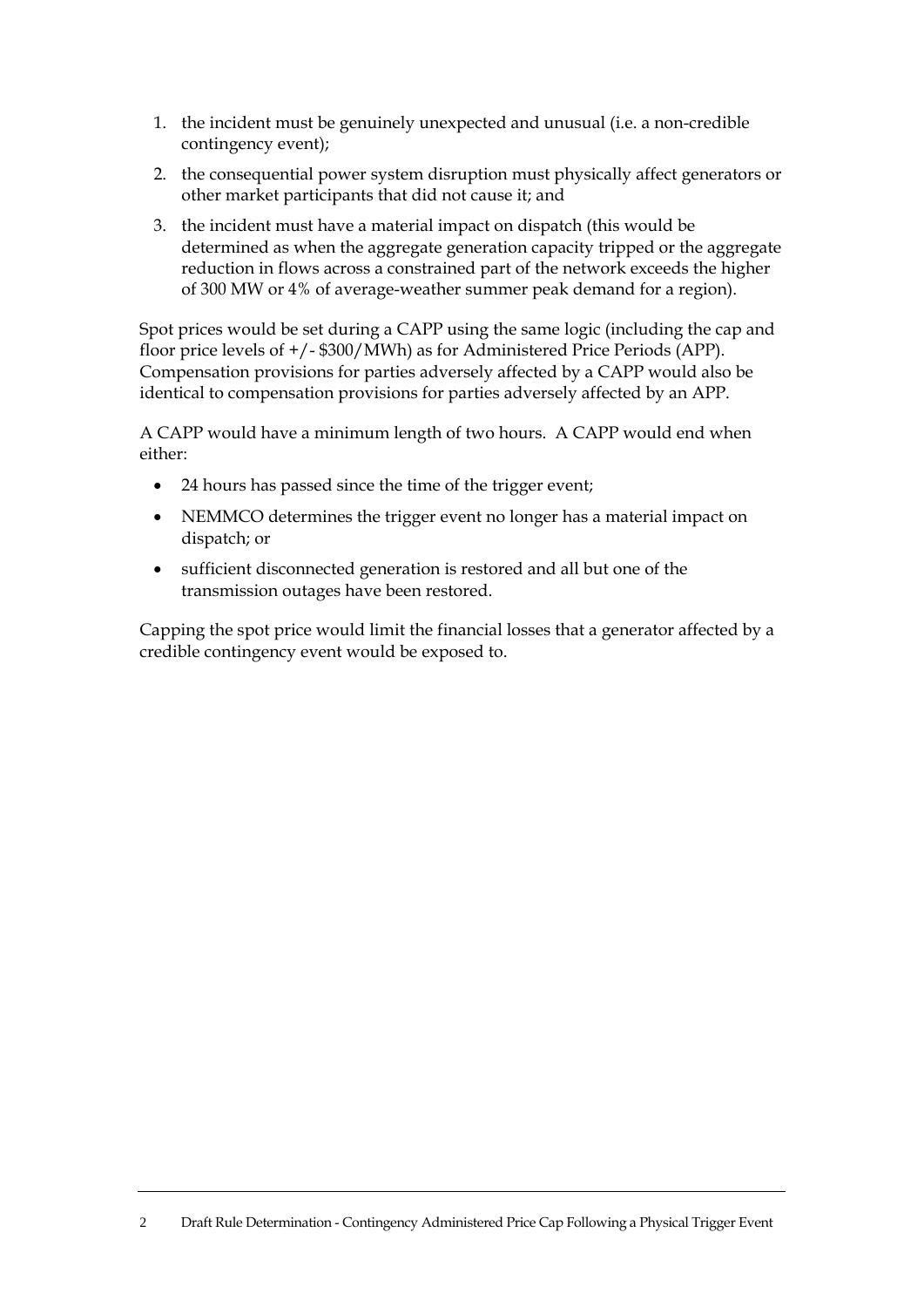- 1. the incident must be genuinely unexpected and unusual (i.e. a non-credible contingency event);
- 2. the consequential power system disruption must physically affect generators or other market participants that did not cause it; and
- 3. the incident must have a material impact on dispatch (this would be determined as when the aggregate generation capacity tripped or the aggregate reduction in flows across a constrained part of the network exceeds the higher of 300 MW or 4% of average-weather summer peak demand for a region).

Spot prices would be set during a CAPP using the same logic (including the cap and floor price levels of +/- \$300/MWh) as for Administered Price Periods (APP). Compensation provisions for parties adversely affected by a CAPP would also be identical to compensation provisions for parties adversely affected by an APP.

A CAPP would have a minimum length of two hours. A CAPP would end when either:

- 24 hours has passed since the time of the trigger event;
- NEMMCO determines the trigger event no longer has a material impact on dispatch; or
- sufficient disconnected generation is restored and all but one of the transmission outages have been restored.

Capping the spot price would limit the financial losses that a generator affected by a credible contingency event would be exposed to.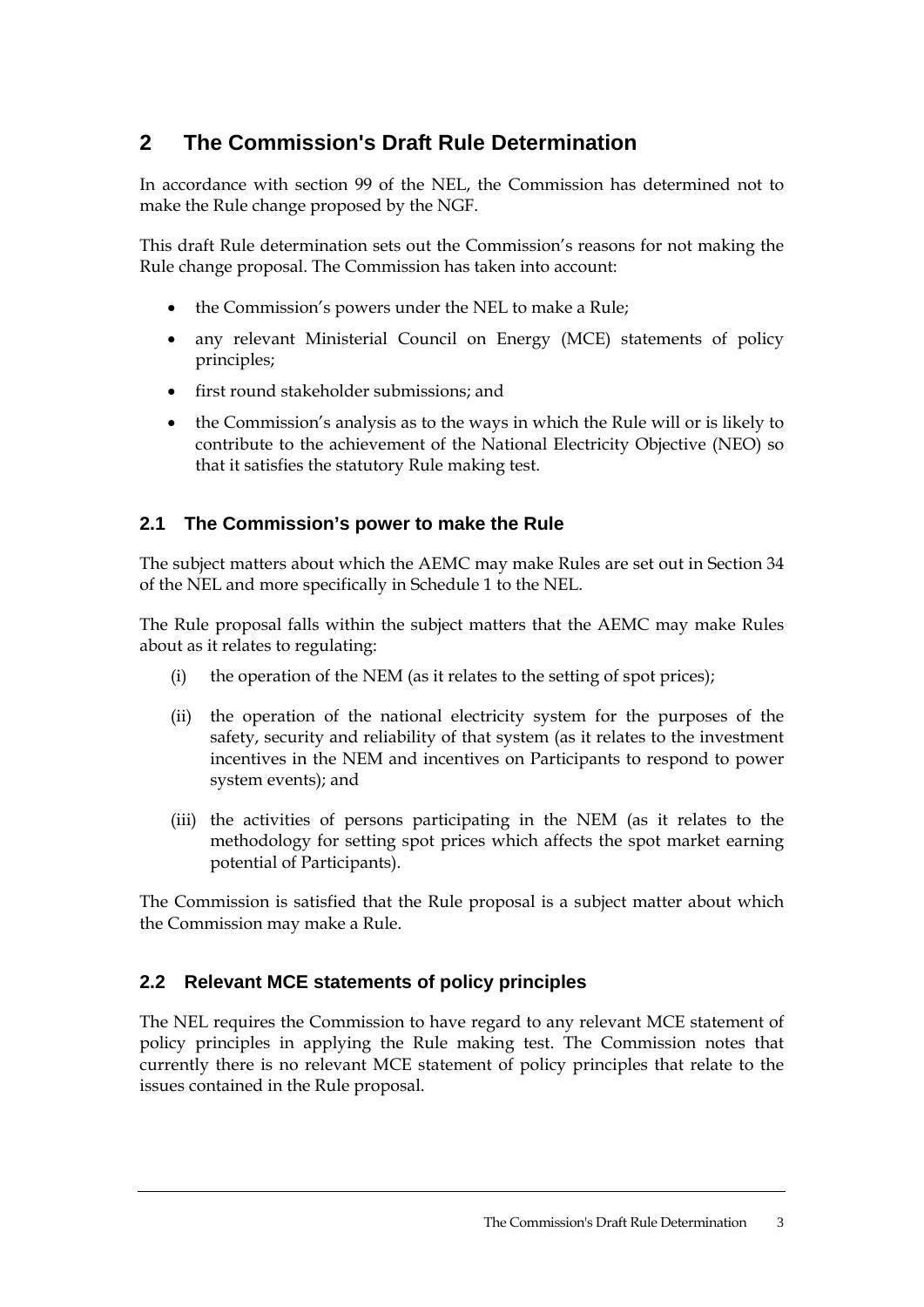# **2 The Commission's Draft Rule Determination**

In accordance with section 99 of the NEL, the Commission has determined not to make the Rule change proposed by the NGF.

This draft Rule determination sets out the Commission's reasons for not making the Rule change proposal. The Commission has taken into account:

- the Commission's powers under the NEL to make a Rule;
- any relevant Ministerial Council on Energy (MCE) statements of policy principles;
- first round stakeholder submissions; and
- the Commission's analysis as to the ways in which the Rule will or is likely to contribute to the achievement of the National Electricity Objective (NEO) so that it satisfies the statutory Rule making test.

## **2.1 The Commission's power to make the Rule**

The subject matters about which the AEMC may make Rules are set out in Section 34 of the NEL and more specifically in Schedule 1 to the NEL.

The Rule proposal falls within the subject matters that the AEMC may make Rules about as it relates to regulating:

- (i) the operation of the NEM (as it relates to the setting of spot prices);
- (ii) the operation of the national electricity system for the purposes of the safety, security and reliability of that system (as it relates to the investment incentives in the NEM and incentives on Participants to respond to power system events); and
- (iii) the activities of persons participating in the NEM (as it relates to the methodology for setting spot prices which affects the spot market earning potential of Participants).

The Commission is satisfied that the Rule proposal is a subject matter about which the Commission may make a Rule.

# **2.2 Relevant MCE statements of policy principles**

The NEL requires the Commission to have regard to any relevant MCE statement of policy principles in applying the Rule making test. The Commission notes that currently there is no relevant MCE statement of policy principles that relate to the issues contained in the Rule proposal.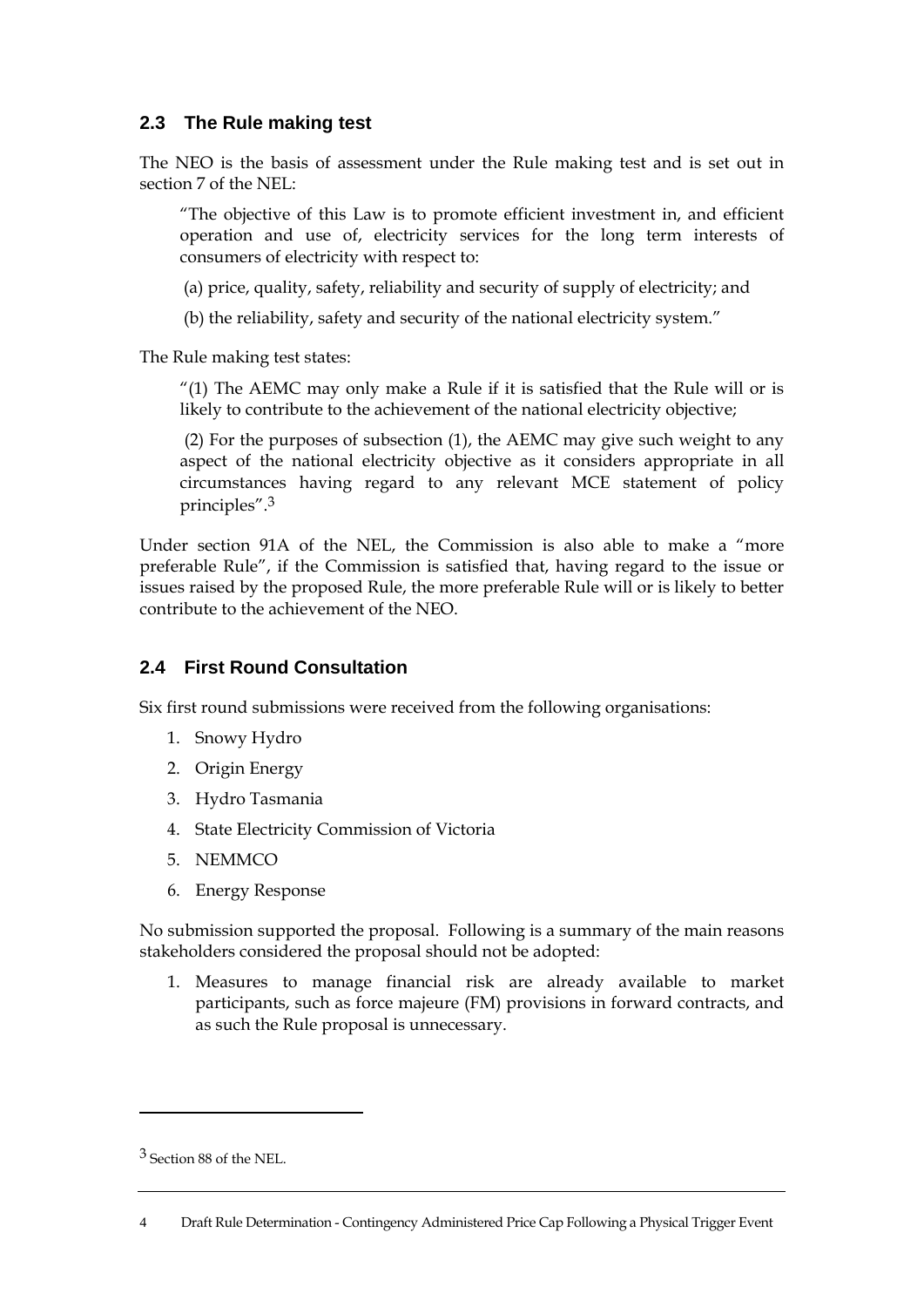## **2.3 The Rule making test**

The NEO is the basis of assessment under the Rule making test and is set out in section 7 of the NEL:

"The objective of this Law is to promote efficient investment in, and efficient operation and use of, electricity services for the long term interests of consumers of electricity with respect to:

- (a) price, quality, safety, reliability and security of supply of electricity; and
- (b) the reliability, safety and security of the national electricity system."

The Rule making test states:

"(1) The AEMC may only make a Rule if it is satisfied that the Rule will or is likely to contribute to the achievement of the national electricity objective;

 (2) For the purposes of subsection (1), the AEMC may give such weight to any aspect of the national electricity objective as it considers appropriate in all circumstances having regard to any relevant MCE statement of policy principles".3

Under section 91A of the NEL, the Commission is also able to make a "more preferable Rule", if the Commission is satisfied that, having regard to the issue or issues raised by the proposed Rule, the more preferable Rule will or is likely to better contribute to the achievement of the NEO.

## **2.4 First Round Consultation**

Six first round submissions were received from the following organisations:

- 1. Snowy Hydro
- 2. Origin Energy
- 3. Hydro Tasmania
- 4. State Electricity Commission of Victoria
- 5. NEMMCO
- 6. Energy Response

No submission supported the proposal. Following is a summary of the main reasons stakeholders considered the proposal should not be adopted:

1. Measures to manage financial risk are already available to market participants, such as force majeure (FM) provisions in forward contracts, and as such the Rule proposal is unnecessary.

 $\overline{a}$ 

<sup>3</sup> Section 88 of the NEL.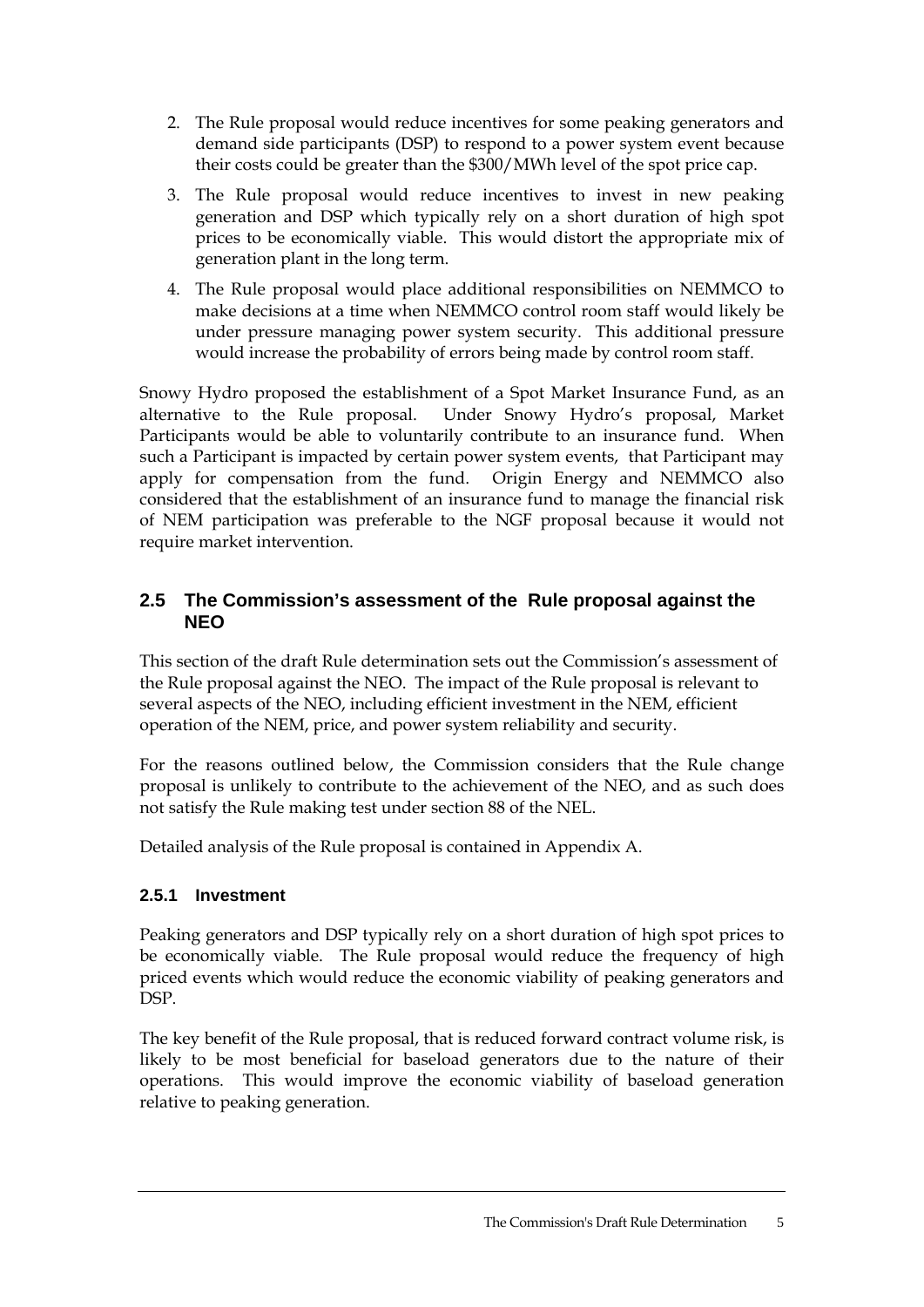- 2. The Rule proposal would reduce incentives for some peaking generators and demand side participants (DSP) to respond to a power system event because their costs could be greater than the \$300/MWh level of the spot price cap.
- 3. The Rule proposal would reduce incentives to invest in new peaking generation and DSP which typically rely on a short duration of high spot prices to be economically viable. This would distort the appropriate mix of generation plant in the long term.
- 4. The Rule proposal would place additional responsibilities on NEMMCO to make decisions at a time when NEMMCO control room staff would likely be under pressure managing power system security. This additional pressure would increase the probability of errors being made by control room staff.

Snowy Hydro proposed the establishment of a Spot Market Insurance Fund, as an alternative to the Rule proposal. Under Snowy Hydro's proposal, Market Participants would be able to voluntarily contribute to an insurance fund. When such a Participant is impacted by certain power system events, that Participant may apply for compensation from the fund. Origin Energy and NEMMCO also considered that the establishment of an insurance fund to manage the financial risk of NEM participation was preferable to the NGF proposal because it would not require market intervention.

## **2.5 The Commission's assessment of the Rule proposal against the NEO**

This section of the draft Rule determination sets out the Commission's assessment of the Rule proposal against the NEO. The impact of the Rule proposal is relevant to several aspects of the NEO, including efficient investment in the NEM, efficient operation of the NEM, price, and power system reliability and security.

For the reasons outlined below, the Commission considers that the Rule change proposal is unlikely to contribute to the achievement of the NEO, and as such does not satisfy the Rule making test under section 88 of the NEL.

Detailed analysis of the Rule proposal is contained in Appendix A.

## **2.5.1 Investment**

Peaking generators and DSP typically rely on a short duration of high spot prices to be economically viable. The Rule proposal would reduce the frequency of high priced events which would reduce the economic viability of peaking generators and DSP.

The key benefit of the Rule proposal, that is reduced forward contract volume risk, is likely to be most beneficial for baseload generators due to the nature of their operations. This would improve the economic viability of baseload generation relative to peaking generation.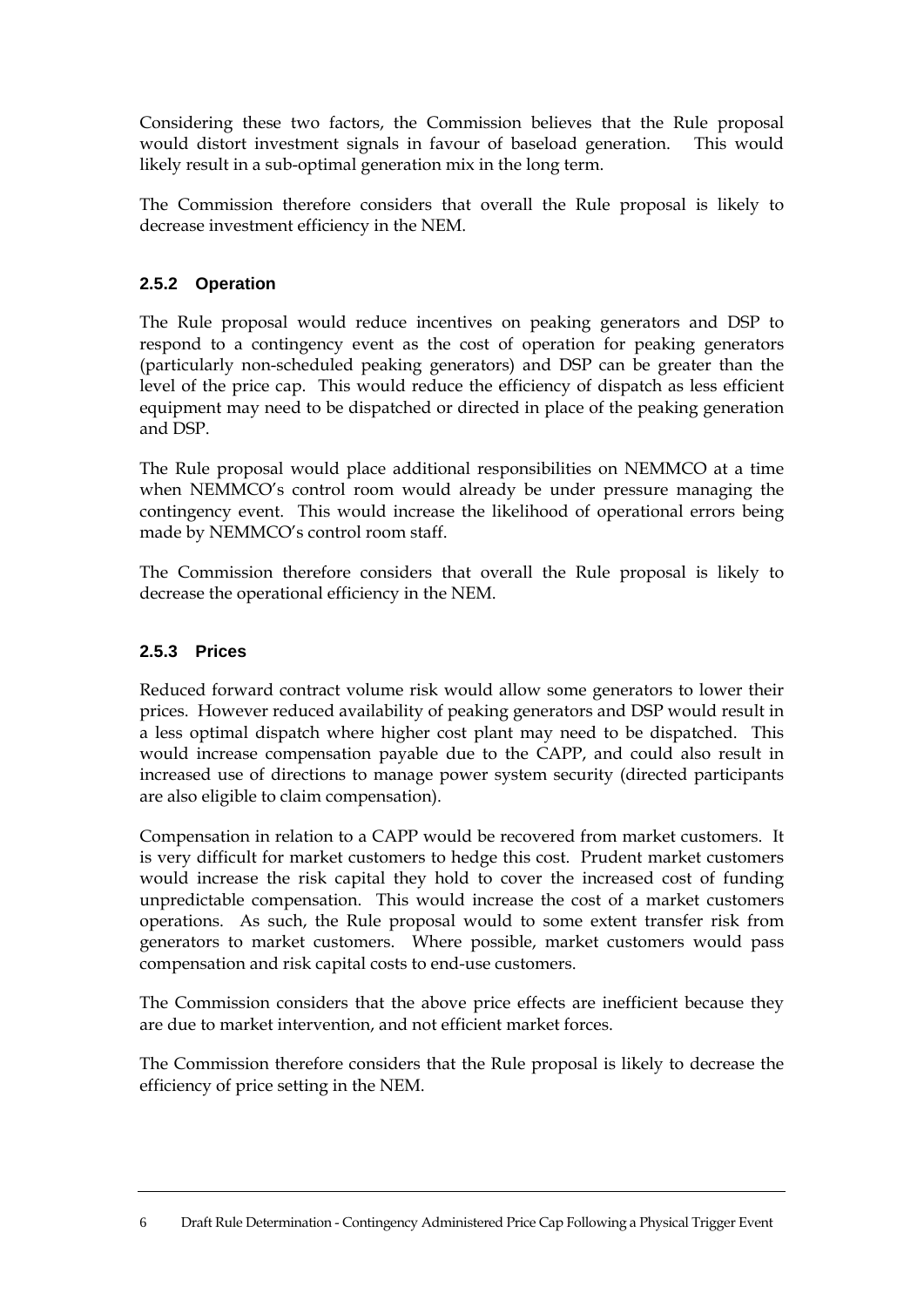Considering these two factors, the Commission believes that the Rule proposal would distort investment signals in favour of baseload generation. This would likely result in a sub-optimal generation mix in the long term.

The Commission therefore considers that overall the Rule proposal is likely to decrease investment efficiency in the NEM.

## **2.5.2 Operation**

The Rule proposal would reduce incentives on peaking generators and DSP to respond to a contingency event as the cost of operation for peaking generators (particularly non-scheduled peaking generators) and DSP can be greater than the level of the price cap. This would reduce the efficiency of dispatch as less efficient equipment may need to be dispatched or directed in place of the peaking generation and DSP.

The Rule proposal would place additional responsibilities on NEMMCO at a time when NEMMCO's control room would already be under pressure managing the contingency event. This would increase the likelihood of operational errors being made by NEMMCO's control room staff.

The Commission therefore considers that overall the Rule proposal is likely to decrease the operational efficiency in the NEM.

## **2.5.3 Prices**

Reduced forward contract volume risk would allow some generators to lower their prices. However reduced availability of peaking generators and DSP would result in a less optimal dispatch where higher cost plant may need to be dispatched. This would increase compensation payable due to the CAPP, and could also result in increased use of directions to manage power system security (directed participants are also eligible to claim compensation).

Compensation in relation to a CAPP would be recovered from market customers. It is very difficult for market customers to hedge this cost. Prudent market customers would increase the risk capital they hold to cover the increased cost of funding unpredictable compensation. This would increase the cost of a market customers operations. As such, the Rule proposal would to some extent transfer risk from generators to market customers. Where possible, market customers would pass compensation and risk capital costs to end-use customers.

The Commission considers that the above price effects are inefficient because they are due to market intervention, and not efficient market forces.

The Commission therefore considers that the Rule proposal is likely to decrease the efficiency of price setting in the NEM.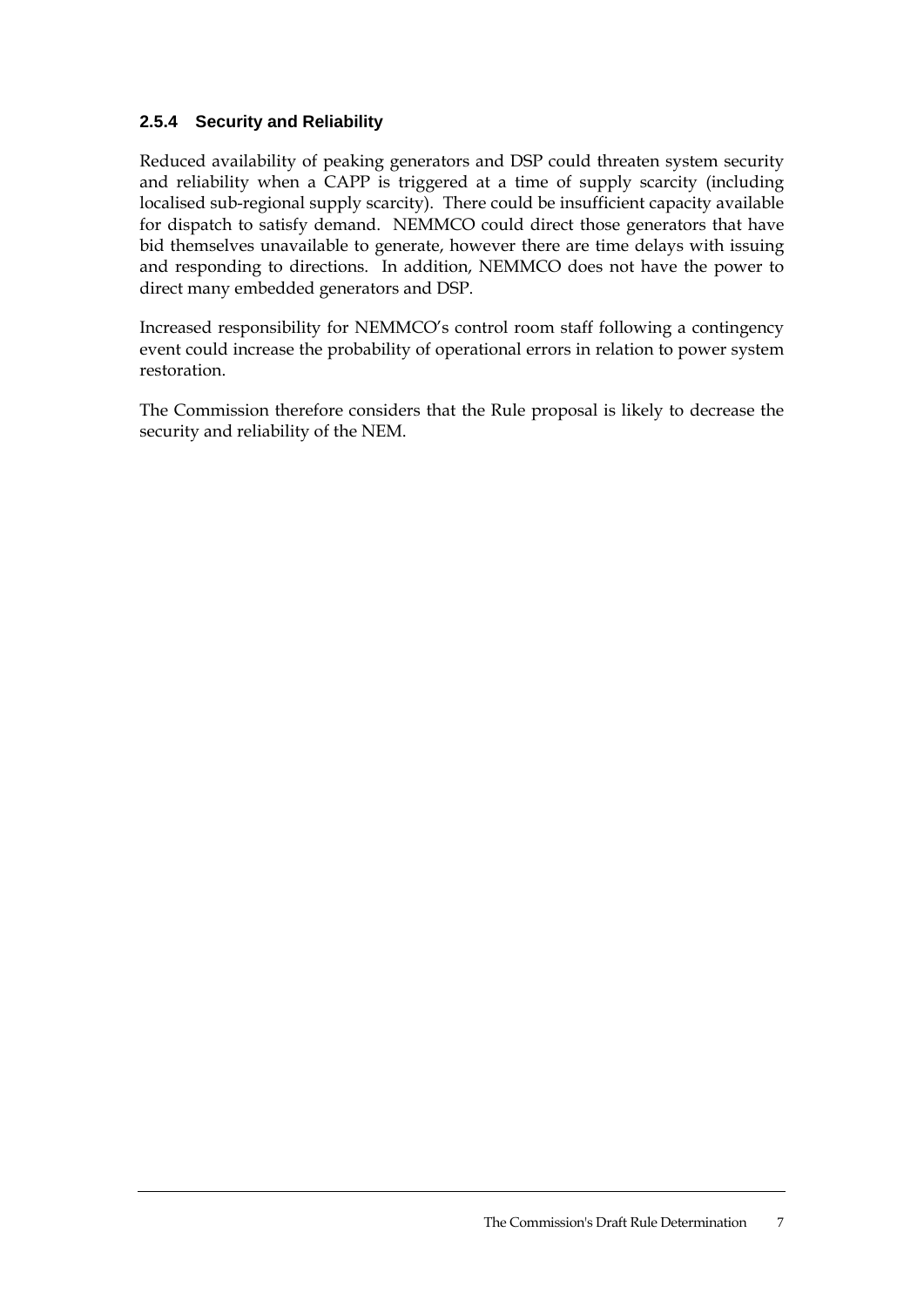## **2.5.4 Security and Reliability**

Reduced availability of peaking generators and DSP could threaten system security and reliability when a CAPP is triggered at a time of supply scarcity (including localised sub-regional supply scarcity). There could be insufficient capacity available for dispatch to satisfy demand. NEMMCO could direct those generators that have bid themselves unavailable to generate, however there are time delays with issuing and responding to directions. In addition, NEMMCO does not have the power to direct many embedded generators and DSP.

Increased responsibility for NEMMCO's control room staff following a contingency event could increase the probability of operational errors in relation to power system restoration.

The Commission therefore considers that the Rule proposal is likely to decrease the security and reliability of the NEM.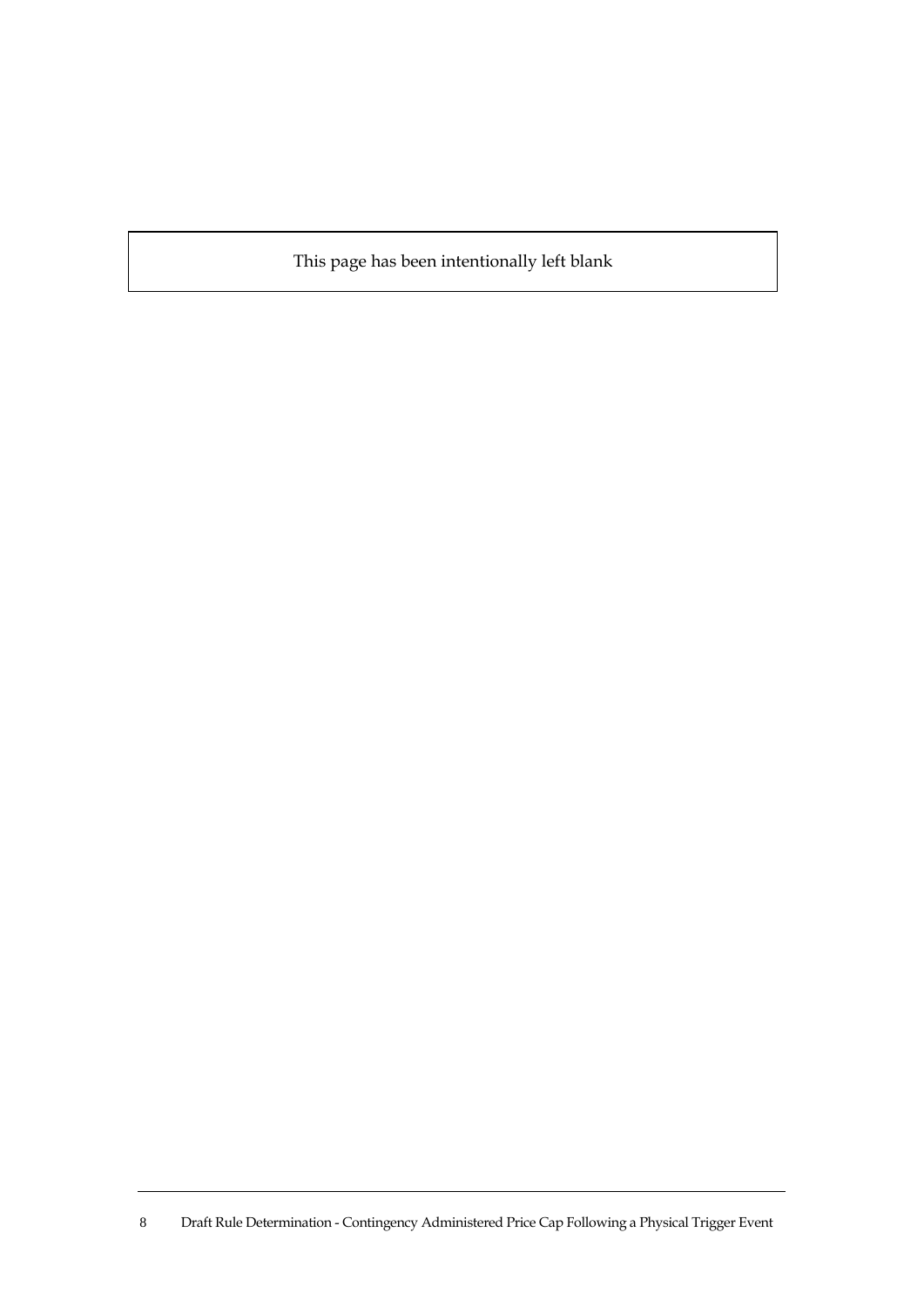This page has been intentionally left blank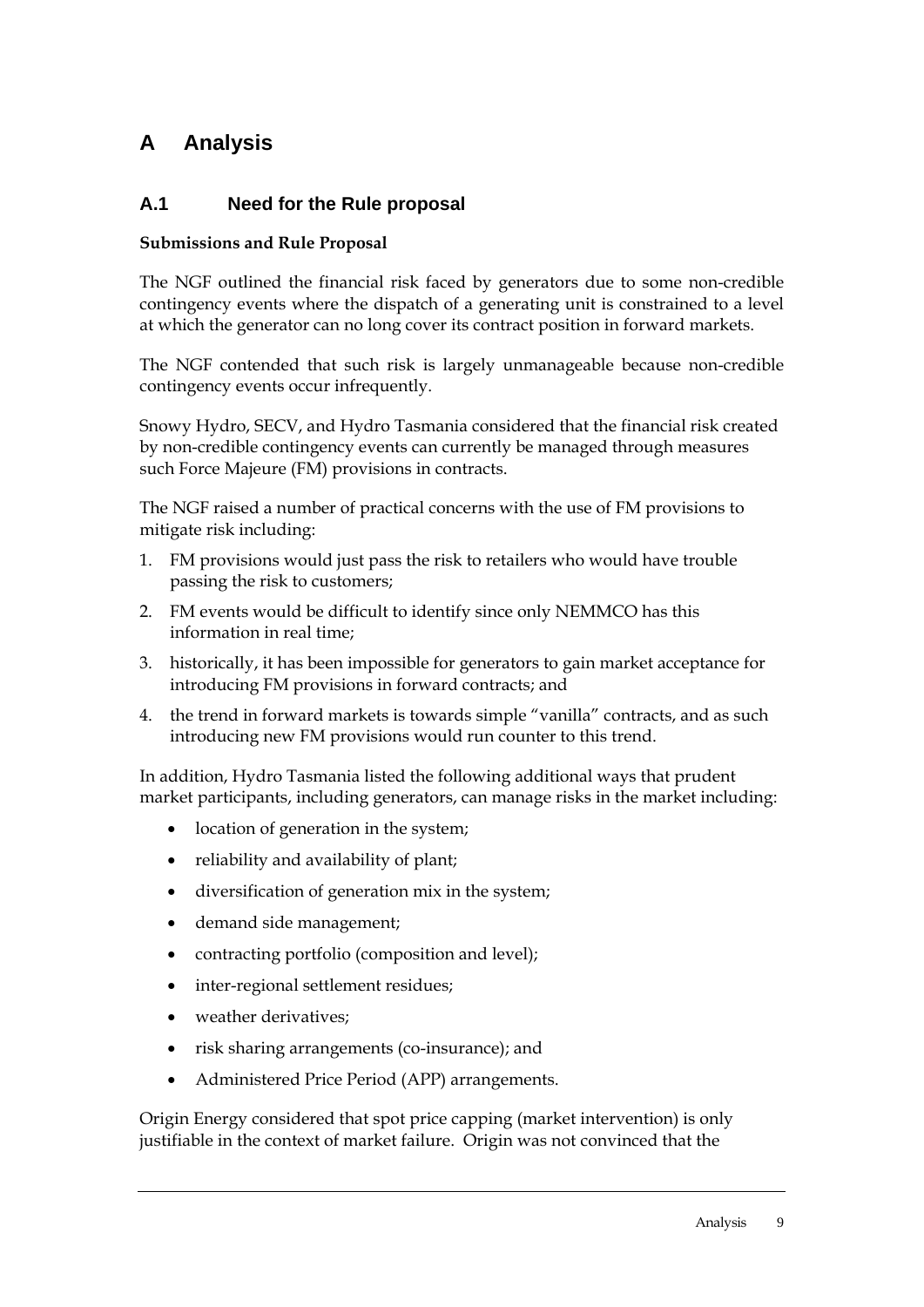# **A Analysis**

## **A.1 Need for the Rule proposal**

#### **Submissions and Rule Proposal**

The NGF outlined the financial risk faced by generators due to some non-credible contingency events where the dispatch of a generating unit is constrained to a level at which the generator can no long cover its contract position in forward markets.

The NGF contended that such risk is largely unmanageable because non-credible contingency events occur infrequently.

Snowy Hydro, SECV, and Hydro Tasmania considered that the financial risk created by non-credible contingency events can currently be managed through measures such Force Majeure (FM) provisions in contracts.

The NGF raised a number of practical concerns with the use of FM provisions to mitigate risk including:

- 1. FM provisions would just pass the risk to retailers who would have trouble passing the risk to customers;
- 2. FM events would be difficult to identify since only NEMMCO has this information in real time;
- 3. historically, it has been impossible for generators to gain market acceptance for introducing FM provisions in forward contracts; and
- 4. the trend in forward markets is towards simple "vanilla" contracts, and as such introducing new FM provisions would run counter to this trend.

In addition, Hydro Tasmania listed the following additional ways that prudent market participants, including generators, can manage risks in the market including:

- location of generation in the system;
- reliability and availability of plant;
- diversification of generation mix in the system;
- demand side management;
- contracting portfolio (composition and level);
- inter-regional settlement residues;
- weather derivatives:
- risk sharing arrangements (co-insurance); and
- Administered Price Period (APP) arrangements.

Origin Energy considered that spot price capping (market intervention) is only justifiable in the context of market failure. Origin was not convinced that the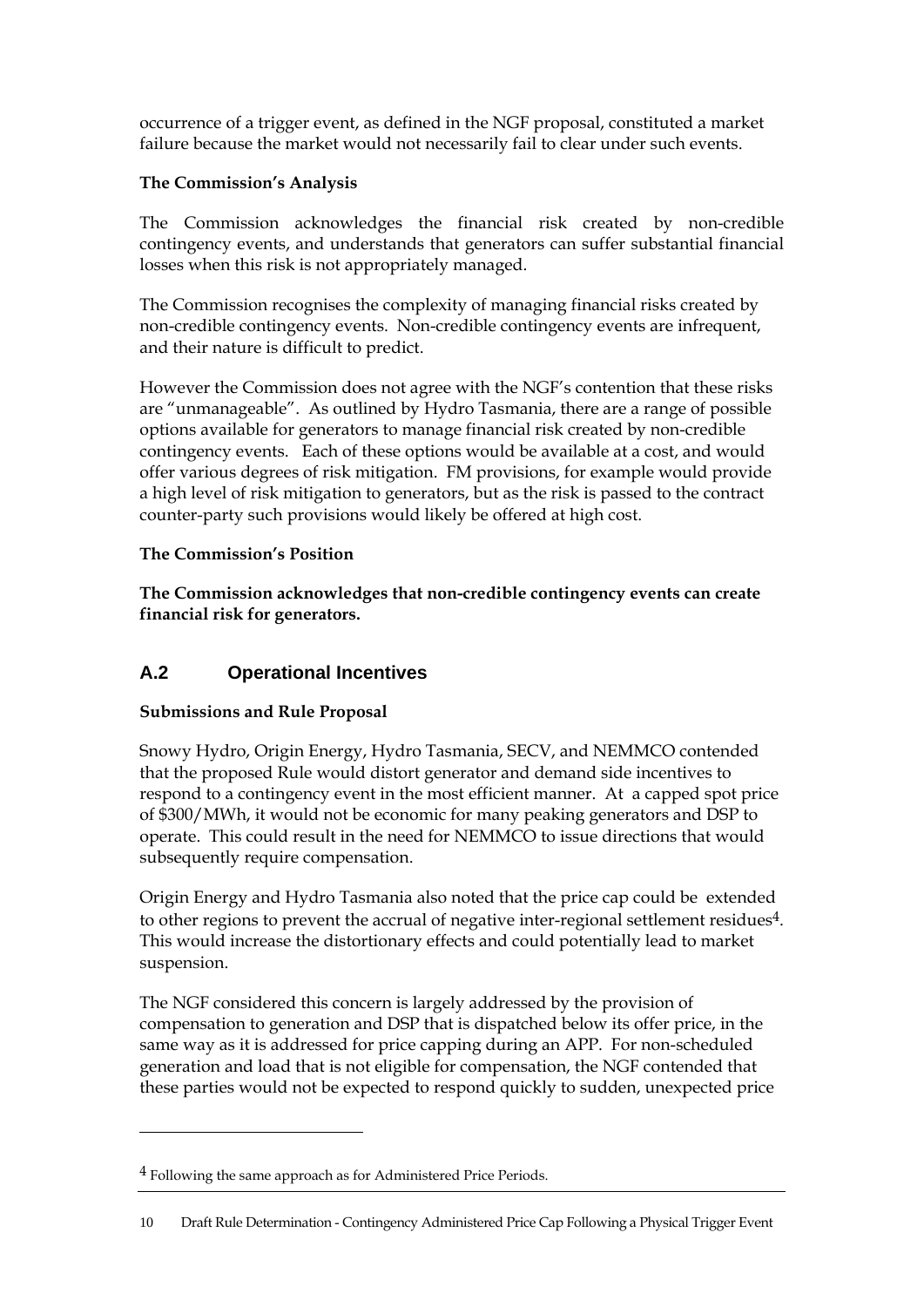occurrence of a trigger event, as defined in the NGF proposal, constituted a market failure because the market would not necessarily fail to clear under such events.

## **The Commission's Analysis**

The Commission acknowledges the financial risk created by non-credible contingency events, and understands that generators can suffer substantial financial losses when this risk is not appropriately managed.

The Commission recognises the complexity of managing financial risks created by non-credible contingency events. Non-credible contingency events are infrequent, and their nature is difficult to predict.

However the Commission does not agree with the NGF's contention that these risks are "unmanageable". As outlined by Hydro Tasmania, there are a range of possible options available for generators to manage financial risk created by non-credible contingency events. Each of these options would be available at a cost, and would offer various degrees of risk mitigation. FM provisions, for example would provide a high level of risk mitigation to generators, but as the risk is passed to the contract counter-party such provisions would likely be offered at high cost.

## **The Commission's Position**

**The Commission acknowledges that non-credible contingency events can create financial risk for generators.** 

# **A.2 Operational Incentives**

## **Submissions and Rule Proposal**

<u>.</u>

Snowy Hydro, Origin Energy, Hydro Tasmania, SECV, and NEMMCO contended that the proposed Rule would distort generator and demand side incentives to respond to a contingency event in the most efficient manner. At a capped spot price of \$300/MWh, it would not be economic for many peaking generators and DSP to operate. This could result in the need for NEMMCO to issue directions that would subsequently require compensation.

Origin Energy and Hydro Tasmania also noted that the price cap could be extended to other regions to prevent the accrual of negative inter-regional settlement residues<sup>4</sup>. This would increase the distortionary effects and could potentially lead to market suspension.

The NGF considered this concern is largely addressed by the provision of compensation to generation and DSP that is dispatched below its offer price, in the same way as it is addressed for price capping during an APP. For non-scheduled generation and load that is not eligible for compensation, the NGF contended that these parties would not be expected to respond quickly to sudden, unexpected price

<sup>4</sup> Following the same approach as for Administered Price Periods.

<sup>10</sup> Draft Rule Determination - Contingency Administered Price Cap Following a Physical Trigger Event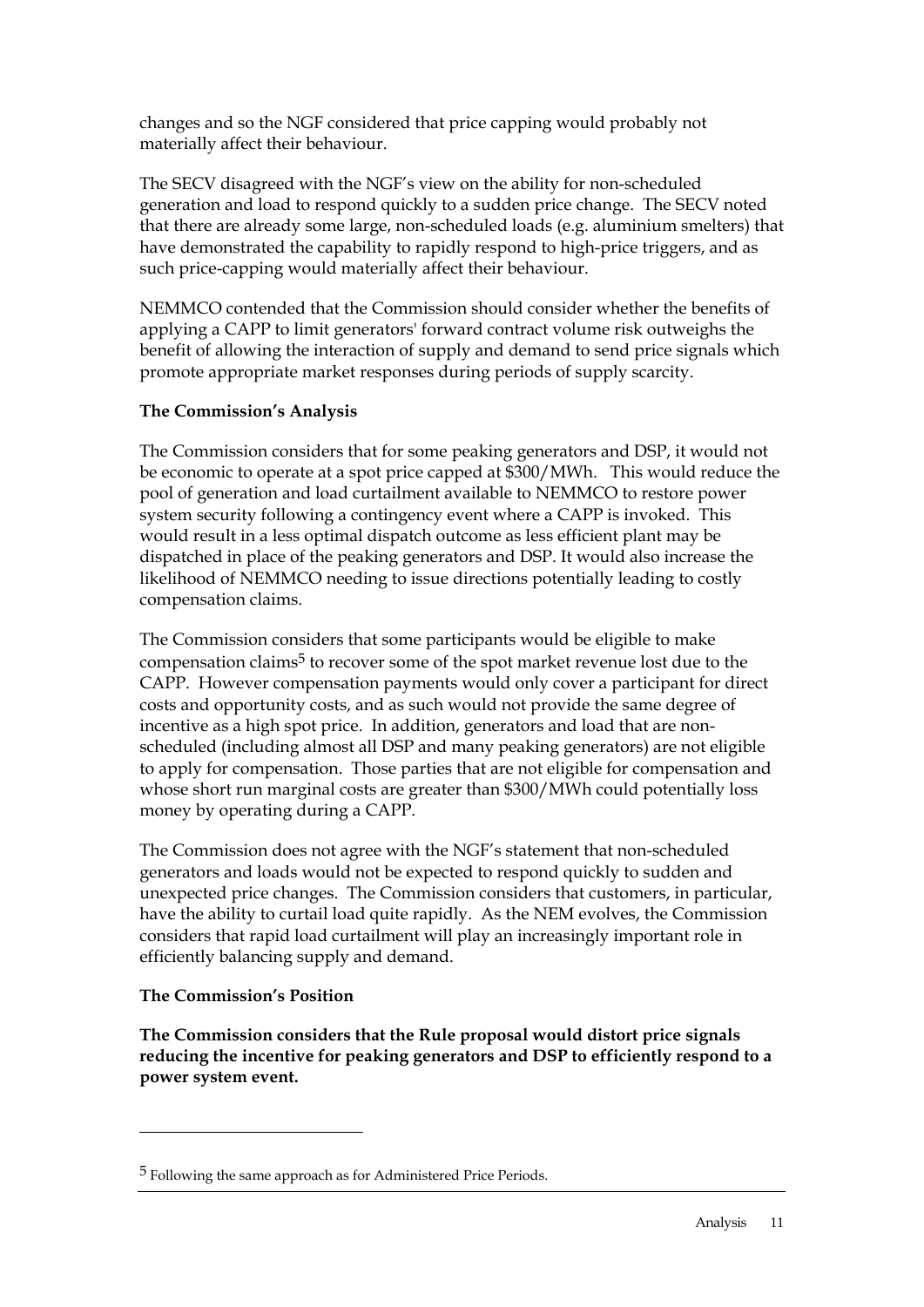changes and so the NGF considered that price capping would probably not materially affect their behaviour.

The SECV disagreed with the NGF's view on the ability for non-scheduled generation and load to respond quickly to a sudden price change. The SECV noted that there are already some large, non-scheduled loads (e.g. aluminium smelters) that have demonstrated the capability to rapidly respond to high-price triggers, and as such price-capping would materially affect their behaviour.

NEMMCO contended that the Commission should consider whether the benefits of applying a CAPP to limit generators' forward contract volume risk outweighs the benefit of allowing the interaction of supply and demand to send price signals which promote appropriate market responses during periods of supply scarcity.

## **The Commission's Analysis**

The Commission considers that for some peaking generators and DSP, it would not be economic to operate at a spot price capped at \$300/MWh. This would reduce the pool of generation and load curtailment available to NEMMCO to restore power system security following a contingency event where a CAPP is invoked. This would result in a less optimal dispatch outcome as less efficient plant may be dispatched in place of the peaking generators and DSP. It would also increase the likelihood of NEMMCO needing to issue directions potentially leading to costly compensation claims.

The Commission considers that some participants would be eligible to make compensation claims<sup>5</sup> to recover some of the spot market revenue lost due to the CAPP. However compensation payments would only cover a participant for direct costs and opportunity costs, and as such would not provide the same degree of incentive as a high spot price. In addition, generators and load that are nonscheduled (including almost all DSP and many peaking generators) are not eligible to apply for compensation. Those parties that are not eligible for compensation and whose short run marginal costs are greater than \$300/MWh could potentially loss money by operating during a CAPP.

The Commission does not agree with the NGF's statement that non-scheduled generators and loads would not be expected to respond quickly to sudden and unexpected price changes. The Commission considers that customers, in particular, have the ability to curtail load quite rapidly. As the NEM evolves, the Commission considers that rapid load curtailment will play an increasingly important role in efficiently balancing supply and demand.

## **The Commission's Position**

<u>.</u>

**The Commission considers that the Rule proposal would distort price signals reducing the incentive for peaking generators and DSP to efficiently respond to a power system event.** 

<sup>5</sup> Following the same approach as for Administered Price Periods.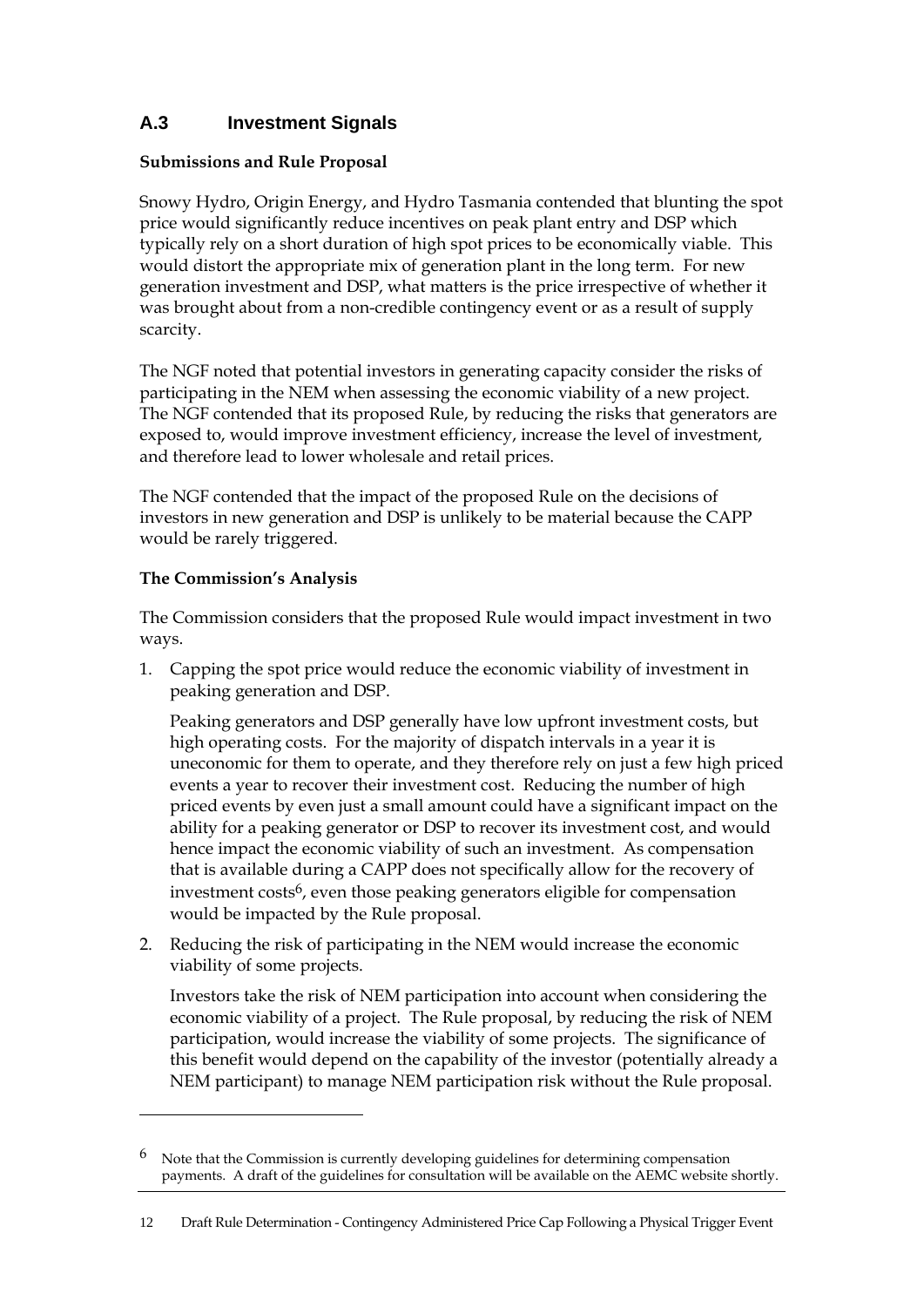# **A.3 Investment Signals**

#### **Submissions and Rule Proposal**

Snowy Hydro, Origin Energy, and Hydro Tasmania contended that blunting the spot price would significantly reduce incentives on peak plant entry and DSP which typically rely on a short duration of high spot prices to be economically viable. This would distort the appropriate mix of generation plant in the long term. For new generation investment and DSP, what matters is the price irrespective of whether it was brought about from a non-credible contingency event or as a result of supply scarcity.

The NGF noted that potential investors in generating capacity consider the risks of participating in the NEM when assessing the economic viability of a new project. The NGF contended that its proposed Rule, by reducing the risks that generators are exposed to, would improve investment efficiency, increase the level of investment, and therefore lead to lower wholesale and retail prices.

The NGF contended that the impact of the proposed Rule on the decisions of investors in new generation and DSP is unlikely to be material because the CAPP would be rarely triggered.

#### **The Commission's Analysis**

<u>.</u>

The Commission considers that the proposed Rule would impact investment in two ways.

1. Capping the spot price would reduce the economic viability of investment in peaking generation and DSP.

Peaking generators and DSP generally have low upfront investment costs, but high operating costs. For the majority of dispatch intervals in a year it is uneconomic for them to operate, and they therefore rely on just a few high priced events a year to recover their investment cost. Reducing the number of high priced events by even just a small amount could have a significant impact on the ability for a peaking generator or DSP to recover its investment cost, and would hence impact the economic viability of such an investment. As compensation that is available during a CAPP does not specifically allow for the recovery of investment costs<sup>6</sup>, even those peaking generators eligible for compensation would be impacted by the Rule proposal.

2. Reducing the risk of participating in the NEM would increase the economic viability of some projects.

Investors take the risk of NEM participation into account when considering the economic viability of a project. The Rule proposal, by reducing the risk of NEM participation, would increase the viability of some projects. The significance of this benefit would depend on the capability of the investor (potentially already a NEM participant) to manage NEM participation risk without the Rule proposal.

<sup>6</sup> Note that the Commission is currently developing guidelines for determining compensation payments. A draft of the guidelines for consultation will be available on the AEMC website shortly.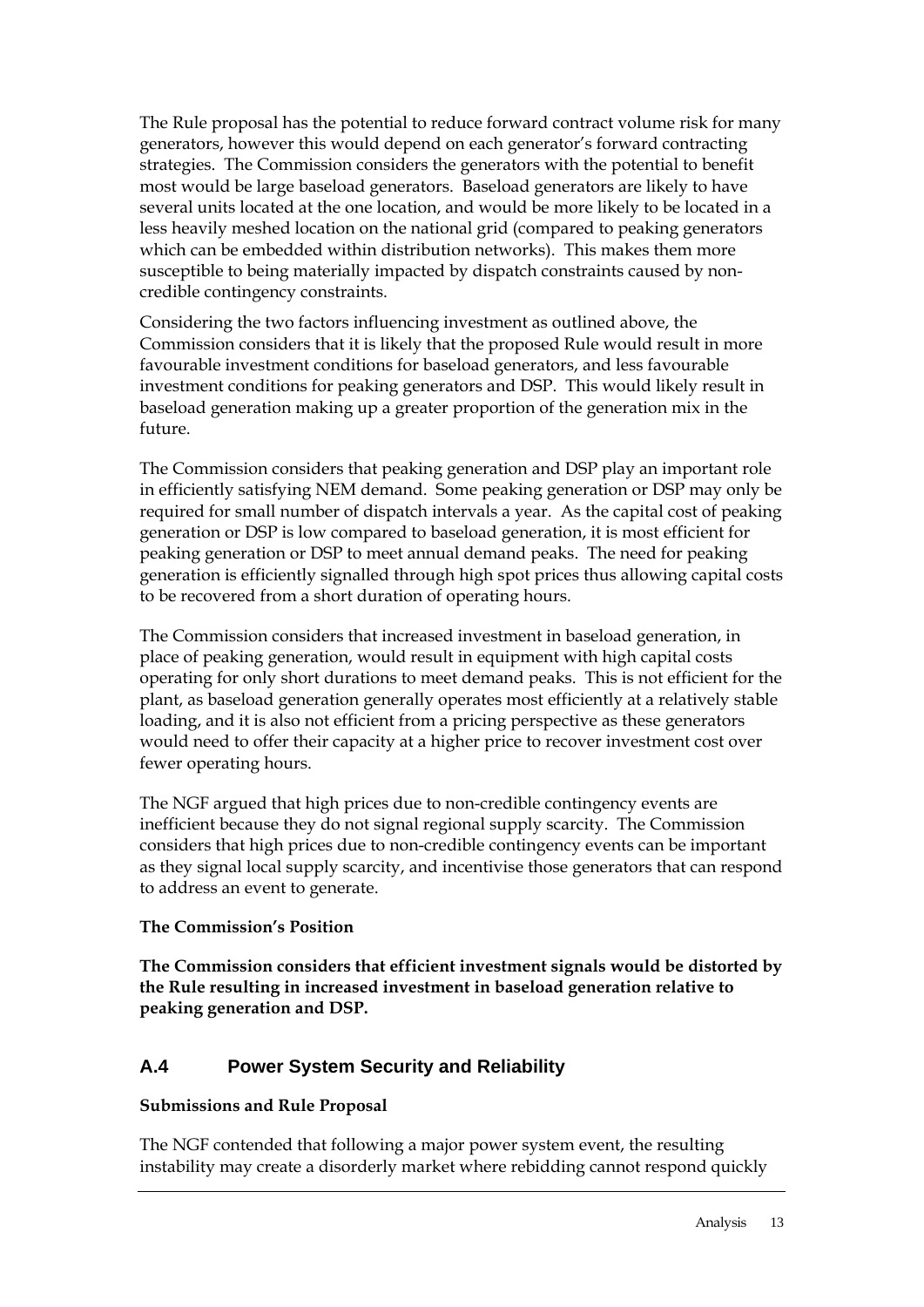The Rule proposal has the potential to reduce forward contract volume risk for many generators, however this would depend on each generator's forward contracting strategies. The Commission considers the generators with the potential to benefit most would be large baseload generators. Baseload generators are likely to have several units located at the one location, and would be more likely to be located in a less heavily meshed location on the national grid (compared to peaking generators which can be embedded within distribution networks). This makes them more susceptible to being materially impacted by dispatch constraints caused by noncredible contingency constraints.

Considering the two factors influencing investment as outlined above, the Commission considers that it is likely that the proposed Rule would result in more favourable investment conditions for baseload generators, and less favourable investment conditions for peaking generators and DSP. This would likely result in baseload generation making up a greater proportion of the generation mix in the future.

The Commission considers that peaking generation and DSP play an important role in efficiently satisfying NEM demand. Some peaking generation or DSP may only be required for small number of dispatch intervals a year. As the capital cost of peaking generation or DSP is low compared to baseload generation, it is most efficient for peaking generation or DSP to meet annual demand peaks. The need for peaking generation is efficiently signalled through high spot prices thus allowing capital costs to be recovered from a short duration of operating hours.

The Commission considers that increased investment in baseload generation, in place of peaking generation, would result in equipment with high capital costs operating for only short durations to meet demand peaks. This is not efficient for the plant, as baseload generation generally operates most efficiently at a relatively stable loading, and it is also not efficient from a pricing perspective as these generators would need to offer their capacity at a higher price to recover investment cost over fewer operating hours.

The NGF argued that high prices due to non-credible contingency events are inefficient because they do not signal regional supply scarcity. The Commission considers that high prices due to non-credible contingency events can be important as they signal local supply scarcity, and incentivise those generators that can respond to address an event to generate.

## **The Commission's Position**

**The Commission considers that efficient investment signals would be distorted by the Rule resulting in increased investment in baseload generation relative to peaking generation and DSP.** 

## **A.4 Power System Security and Reliability**

#### **Submissions and Rule Proposal**

The NGF contended that following a major power system event, the resulting instability may create a disorderly market where rebidding cannot respond quickly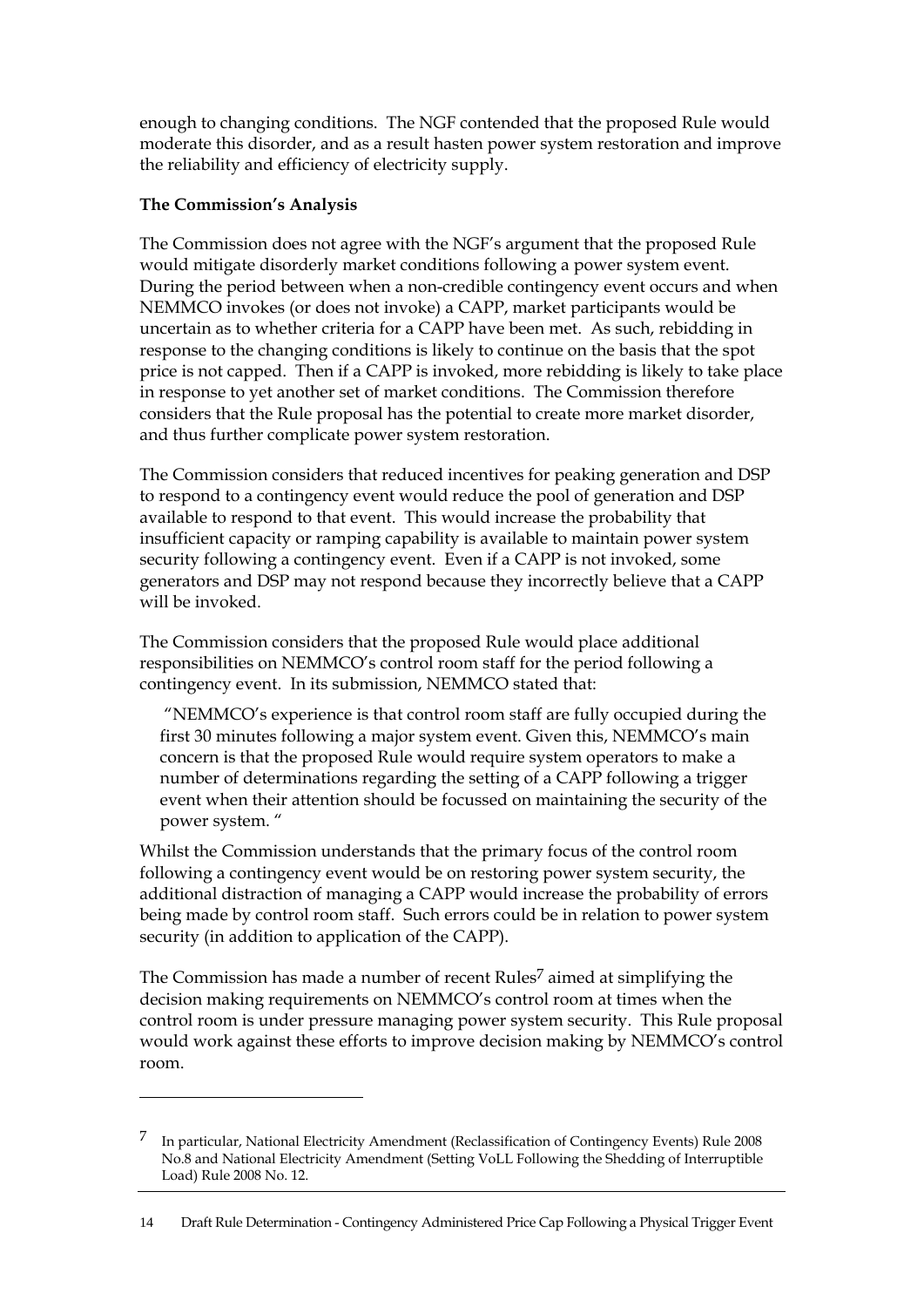enough to changing conditions. The NGF contended that the proposed Rule would moderate this disorder, and as a result hasten power system restoration and improve the reliability and efficiency of electricity supply.

## **The Commission's Analysis**

-

The Commission does not agree with the NGF's argument that the proposed Rule would mitigate disorderly market conditions following a power system event. During the period between when a non-credible contingency event occurs and when NEMMCO invokes (or does not invoke) a CAPP, market participants would be uncertain as to whether criteria for a CAPP have been met. As such, rebidding in response to the changing conditions is likely to continue on the basis that the spot price is not capped. Then if a CAPP is invoked, more rebidding is likely to take place in response to yet another set of market conditions. The Commission therefore considers that the Rule proposal has the potential to create more market disorder, and thus further complicate power system restoration.

The Commission considers that reduced incentives for peaking generation and DSP to respond to a contingency event would reduce the pool of generation and DSP available to respond to that event. This would increase the probability that insufficient capacity or ramping capability is available to maintain power system security following a contingency event. Even if a CAPP is not invoked, some generators and DSP may not respond because they incorrectly believe that a CAPP will be invoked.

The Commission considers that the proposed Rule would place additional responsibilities on NEMMCO's control room staff for the period following a contingency event. In its submission, NEMMCO stated that:

 "NEMMCO's experience is that control room staff are fully occupied during the first 30 minutes following a major system event. Given this, NEMMCO's main concern is that the proposed Rule would require system operators to make a number of determinations regarding the setting of a CAPP following a trigger event when their attention should be focussed on maintaining the security of the power system. "

Whilst the Commission understands that the primary focus of the control room following a contingency event would be on restoring power system security, the additional distraction of managing a CAPP would increase the probability of errors being made by control room staff. Such errors could be in relation to power system security (in addition to application of the CAPP).

The Commission has made a number of recent Rules<sup>7</sup> aimed at simplifying the decision making requirements on NEMMCO's control room at times when the control room is under pressure managing power system security. This Rule proposal would work against these efforts to improve decision making by NEMMCO's control room.

<sup>7</sup> In particular, National Electricity Amendment (Reclassification of Contingency Events) Rule 2008 No.8 and National Electricity Amendment (Setting VoLL Following the Shedding of Interruptible Load) Rule 2008 No. 12.

<sup>14</sup> Draft Rule Determination - Contingency Administered Price Cap Following a Physical Trigger Event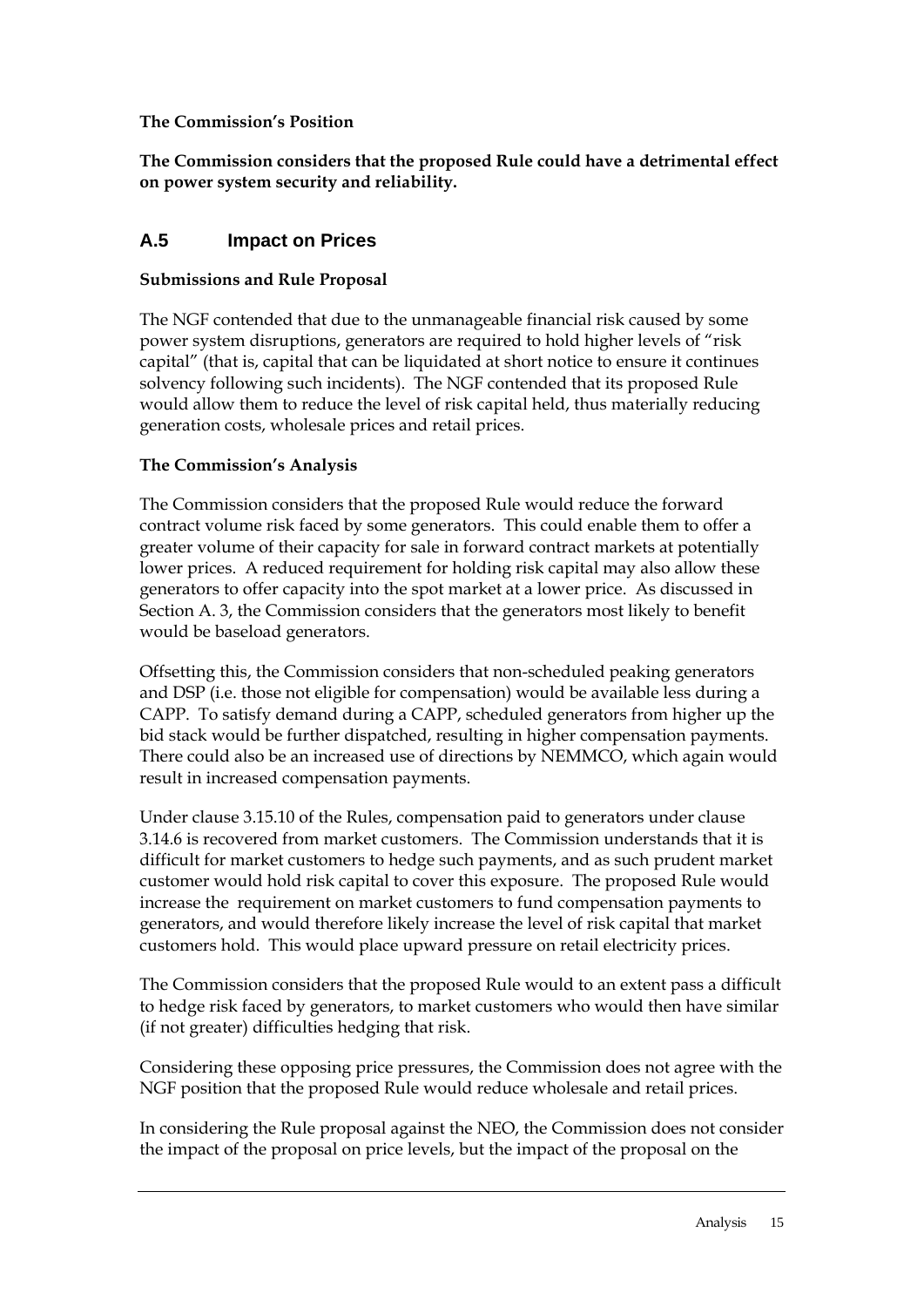## **The Commission's Position**

#### **The Commission considers that the proposed Rule could have a detrimental effect on power system security and reliability.**

## **A.5 Impact on Prices**

#### **Submissions and Rule Proposal**

The NGF contended that due to the unmanageable financial risk caused by some power system disruptions, generators are required to hold higher levels of "risk capital" (that is, capital that can be liquidated at short notice to ensure it continues solvency following such incidents). The NGF contended that its proposed Rule would allow them to reduce the level of risk capital held, thus materially reducing generation costs, wholesale prices and retail prices.

#### **The Commission's Analysis**

The Commission considers that the proposed Rule would reduce the forward contract volume risk faced by some generators. This could enable them to offer a greater volume of their capacity for sale in forward contract markets at potentially lower prices. A reduced requirement for holding risk capital may also allow these generators to offer capacity into the spot market at a lower price. As discussed in Section A. 3, the Commission considers that the generators most likely to benefit would be baseload generators.

Offsetting this, the Commission considers that non-scheduled peaking generators and DSP (i.e. those not eligible for compensation) would be available less during a CAPP. To satisfy demand during a CAPP, scheduled generators from higher up the bid stack would be further dispatched, resulting in higher compensation payments. There could also be an increased use of directions by NEMMCO, which again would result in increased compensation payments.

Under clause 3.15.10 of the Rules, compensation paid to generators under clause 3.14.6 is recovered from market customers. The Commission understands that it is difficult for market customers to hedge such payments, and as such prudent market customer would hold risk capital to cover this exposure. The proposed Rule would increase the requirement on market customers to fund compensation payments to generators, and would therefore likely increase the level of risk capital that market customers hold. This would place upward pressure on retail electricity prices.

The Commission considers that the proposed Rule would to an extent pass a difficult to hedge risk faced by generators, to market customers who would then have similar (if not greater) difficulties hedging that risk.

Considering these opposing price pressures, the Commission does not agree with the NGF position that the proposed Rule would reduce wholesale and retail prices.

In considering the Rule proposal against the NEO, the Commission does not consider the impact of the proposal on price levels, but the impact of the proposal on the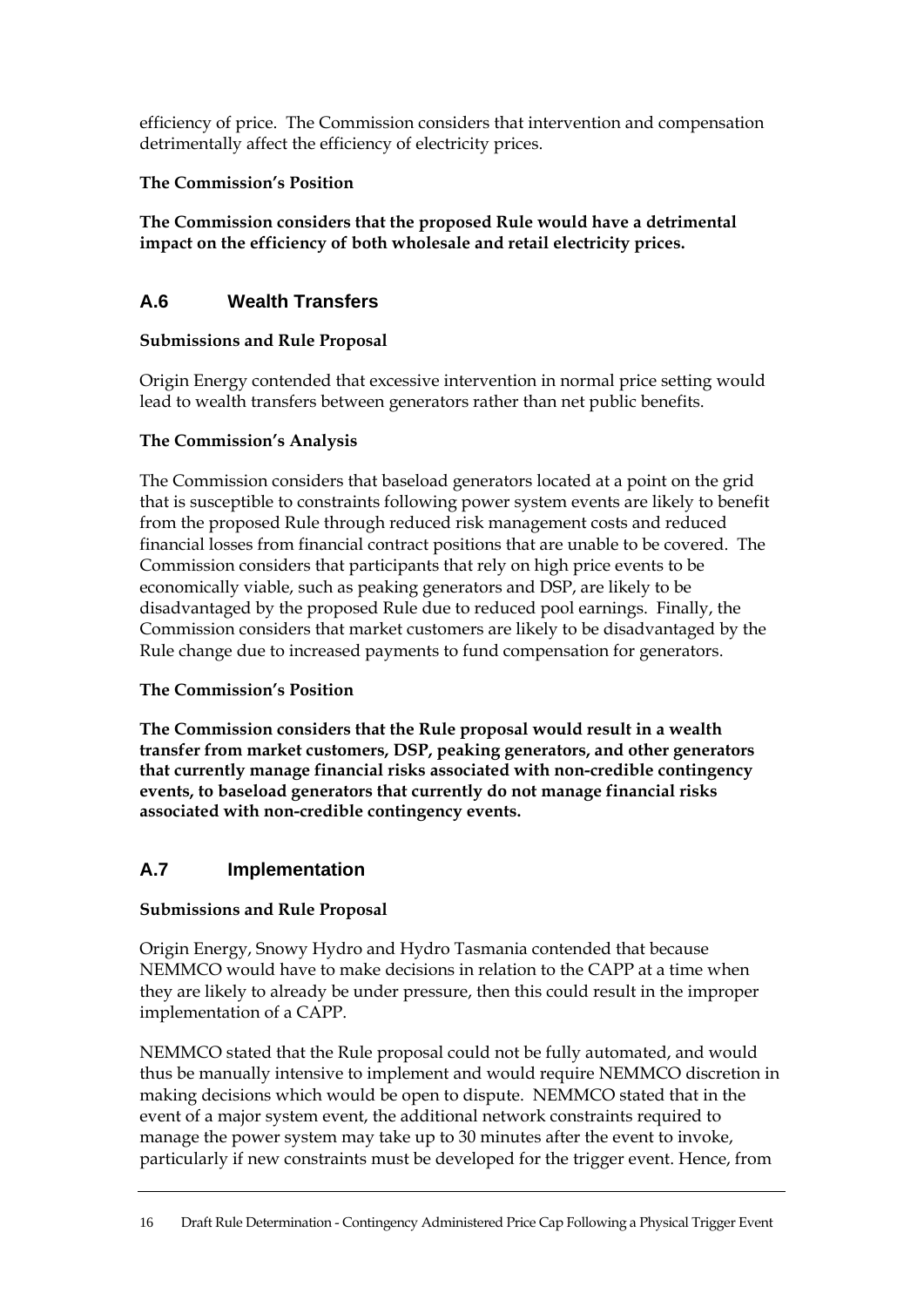efficiency of price. The Commission considers that intervention and compensation detrimentally affect the efficiency of electricity prices.

## **The Commission's Position**

**The Commission considers that the proposed Rule would have a detrimental impact on the efficiency of both wholesale and retail electricity prices.** 

## **A.6 Wealth Transfers**

## **Submissions and Rule Proposal**

Origin Energy contended that excessive intervention in normal price setting would lead to wealth transfers between generators rather than net public benefits.

## **The Commission's Analysis**

The Commission considers that baseload generators located at a point on the grid that is susceptible to constraints following power system events are likely to benefit from the proposed Rule through reduced risk management costs and reduced financial losses from financial contract positions that are unable to be covered. The Commission considers that participants that rely on high price events to be economically viable, such as peaking generators and DSP, are likely to be disadvantaged by the proposed Rule due to reduced pool earnings. Finally, the Commission considers that market customers are likely to be disadvantaged by the Rule change due to increased payments to fund compensation for generators.

## **The Commission's Position**

**The Commission considers that the Rule proposal would result in a wealth transfer from market customers, DSP, peaking generators, and other generators that currently manage financial risks associated with non-credible contingency events, to baseload generators that currently do not manage financial risks associated with non-credible contingency events.** 

# **A.7 Implementation**

## **Submissions and Rule Proposal**

Origin Energy, Snowy Hydro and Hydro Tasmania contended that because NEMMCO would have to make decisions in relation to the CAPP at a time when they are likely to already be under pressure, then this could result in the improper implementation of a CAPP.

NEMMCO stated that the Rule proposal could not be fully automated, and would thus be manually intensive to implement and would require NEMMCO discretion in making decisions which would be open to dispute. NEMMCO stated that in the event of a major system event, the additional network constraints required to manage the power system may take up to 30 minutes after the event to invoke, particularly if new constraints must be developed for the trigger event. Hence, from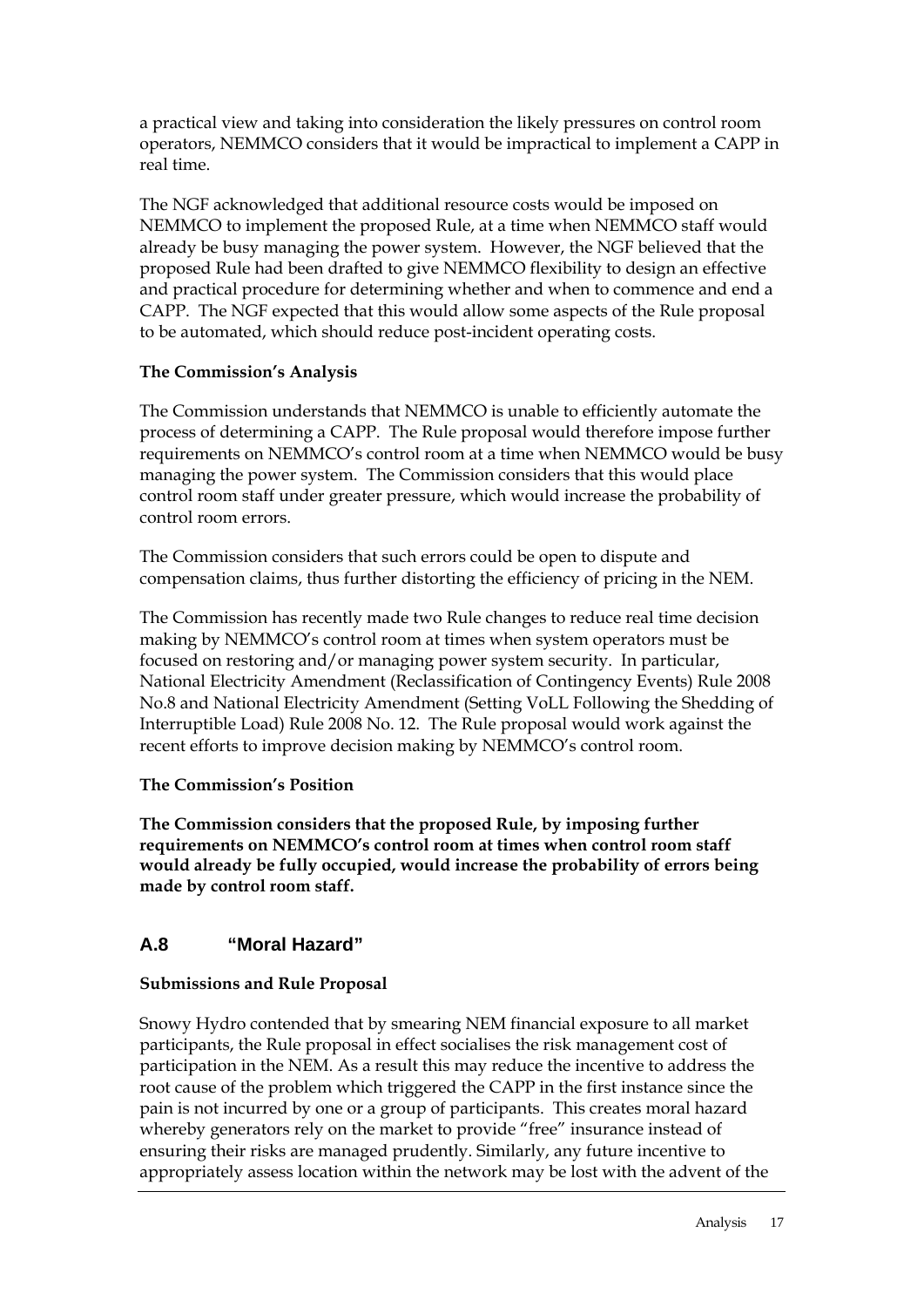a practical view and taking into consideration the likely pressures on control room operators, NEMMCO considers that it would be impractical to implement a CAPP in real time.

The NGF acknowledged that additional resource costs would be imposed on NEMMCO to implement the proposed Rule, at a time when NEMMCO staff would already be busy managing the power system. However, the NGF believed that the proposed Rule had been drafted to give NEMMCO flexibility to design an effective and practical procedure for determining whether and when to commence and end a CAPP. The NGF expected that this would allow some aspects of the Rule proposal to be automated, which should reduce post-incident operating costs.

## **The Commission's Analysis**

The Commission understands that NEMMCO is unable to efficiently automate the process of determining a CAPP. The Rule proposal would therefore impose further requirements on NEMMCO's control room at a time when NEMMCO would be busy managing the power system. The Commission considers that this would place control room staff under greater pressure, which would increase the probability of control room errors.

The Commission considers that such errors could be open to dispute and compensation claims, thus further distorting the efficiency of pricing in the NEM.

The Commission has recently made two Rule changes to reduce real time decision making by NEMMCO's control room at times when system operators must be focused on restoring and/or managing power system security. In particular, National Electricity Amendment (Reclassification of Contingency Events) Rule 2008 No.8 and National Electricity Amendment (Setting VoLL Following the Shedding of Interruptible Load) Rule 2008 No. 12. The Rule proposal would work against the recent efforts to improve decision making by NEMMCO's control room.

## **The Commission's Position**

**The Commission considers that the proposed Rule, by imposing further requirements on NEMMCO's control room at times when control room staff would already be fully occupied, would increase the probability of errors being made by control room staff.** 

# **A.8 "Moral Hazard"**

## **Submissions and Rule Proposal**

Snowy Hydro contended that by smearing NEM financial exposure to all market participants, the Rule proposal in effect socialises the risk management cost of participation in the NEM. As a result this may reduce the incentive to address the root cause of the problem which triggered the CAPP in the first instance since the pain is not incurred by one or a group of participants. This creates moral hazard whereby generators rely on the market to provide "free" insurance instead of ensuring their risks are managed prudently. Similarly, any future incentive to appropriately assess location within the network may be lost with the advent of the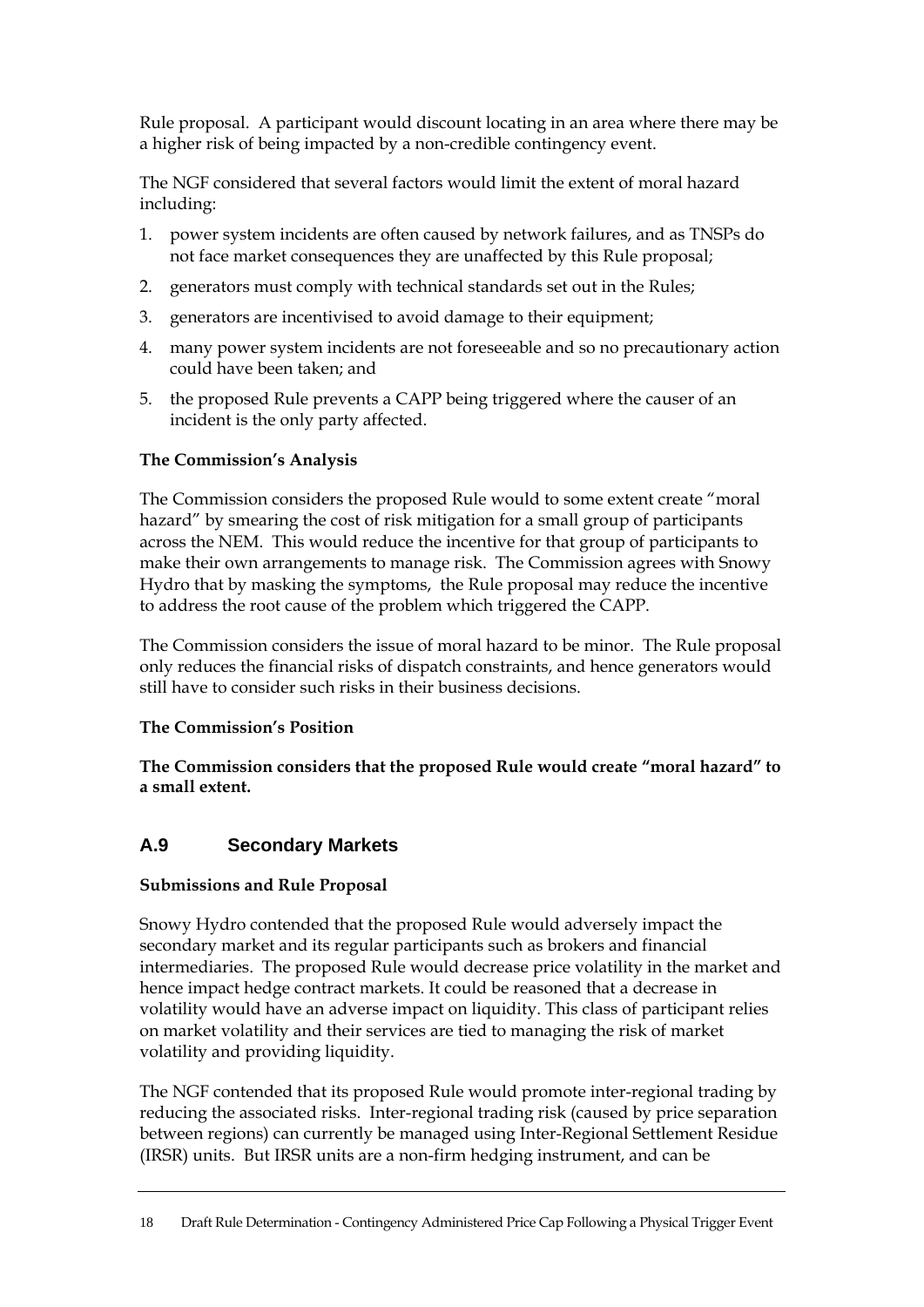Rule proposal. A participant would discount locating in an area where there may be a higher risk of being impacted by a non-credible contingency event.

The NGF considered that several factors would limit the extent of moral hazard including:

- 1. power system incidents are often caused by network failures, and as TNSPs do not face market consequences they are unaffected by this Rule proposal;
- 2. generators must comply with technical standards set out in the Rules;
- 3. generators are incentivised to avoid damage to their equipment;
- 4. many power system incidents are not foreseeable and so no precautionary action could have been taken; and
- 5. the proposed Rule prevents a CAPP being triggered where the causer of an incident is the only party affected.

#### **The Commission's Analysis**

The Commission considers the proposed Rule would to some extent create "moral hazard" by smearing the cost of risk mitigation for a small group of participants across the NEM. This would reduce the incentive for that group of participants to make their own arrangements to manage risk. The Commission agrees with Snowy Hydro that by masking the symptoms, the Rule proposal may reduce the incentive to address the root cause of the problem which triggered the CAPP.

The Commission considers the issue of moral hazard to be minor. The Rule proposal only reduces the financial risks of dispatch constraints, and hence generators would still have to consider such risks in their business decisions.

#### **The Commission's Position**

**The Commission considers that the proposed Rule would create "moral hazard" to a small extent.** 

## **A.9 Secondary Markets**

#### **Submissions and Rule Proposal**

Snowy Hydro contended that the proposed Rule would adversely impact the secondary market and its regular participants such as brokers and financial intermediaries. The proposed Rule would decrease price volatility in the market and hence impact hedge contract markets. It could be reasoned that a decrease in volatility would have an adverse impact on liquidity. This class of participant relies on market volatility and their services are tied to managing the risk of market volatility and providing liquidity.

The NGF contended that its proposed Rule would promote inter-regional trading by reducing the associated risks. Inter-regional trading risk (caused by price separation between regions) can currently be managed using Inter-Regional Settlement Residue (IRSR) units. But IRSR units are a non-firm hedging instrument, and can be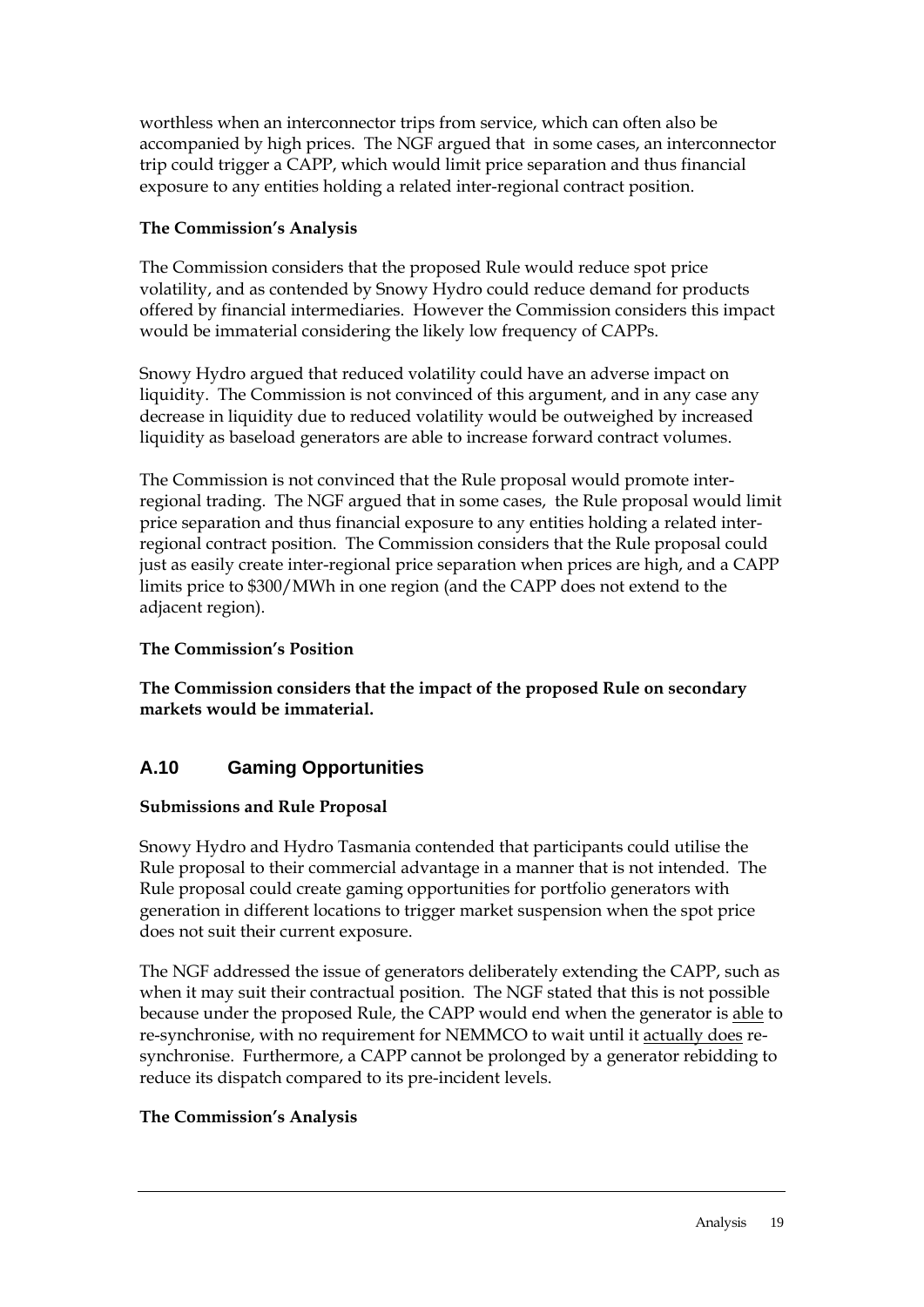worthless when an interconnector trips from service, which can often also be accompanied by high prices. The NGF argued that in some cases, an interconnector trip could trigger a CAPP, which would limit price separation and thus financial exposure to any entities holding a related inter-regional contract position.

## **The Commission's Analysis**

The Commission considers that the proposed Rule would reduce spot price volatility, and as contended by Snowy Hydro could reduce demand for products offered by financial intermediaries. However the Commission considers this impact would be immaterial considering the likely low frequency of CAPPs.

Snowy Hydro argued that reduced volatility could have an adverse impact on liquidity. The Commission is not convinced of this argument, and in any case any decrease in liquidity due to reduced volatility would be outweighed by increased liquidity as baseload generators are able to increase forward contract volumes.

The Commission is not convinced that the Rule proposal would promote interregional trading. The NGF argued that in some cases, the Rule proposal would limit price separation and thus financial exposure to any entities holding a related interregional contract position. The Commission considers that the Rule proposal could just as easily create inter-regional price separation when prices are high, and a CAPP limits price to \$300/MWh in one region (and the CAPP does not extend to the adjacent region).

## **The Commission's Position**

**The Commission considers that the impact of the proposed Rule on secondary markets would be immaterial.** 

# **A.10 Gaming Opportunities**

## **Submissions and Rule Proposal**

Snowy Hydro and Hydro Tasmania contended that participants could utilise the Rule proposal to their commercial advantage in a manner that is not intended. The Rule proposal could create gaming opportunities for portfolio generators with generation in different locations to trigger market suspension when the spot price does not suit their current exposure.

The NGF addressed the issue of generators deliberately extending the CAPP, such as when it may suit their contractual position. The NGF stated that this is not possible because under the proposed Rule, the CAPP would end when the generator is able to re-synchronise, with no requirement for NEMMCO to wait until it actually does resynchronise. Furthermore, a CAPP cannot be prolonged by a generator rebidding to reduce its dispatch compared to its pre-incident levels.

## **The Commission's Analysis**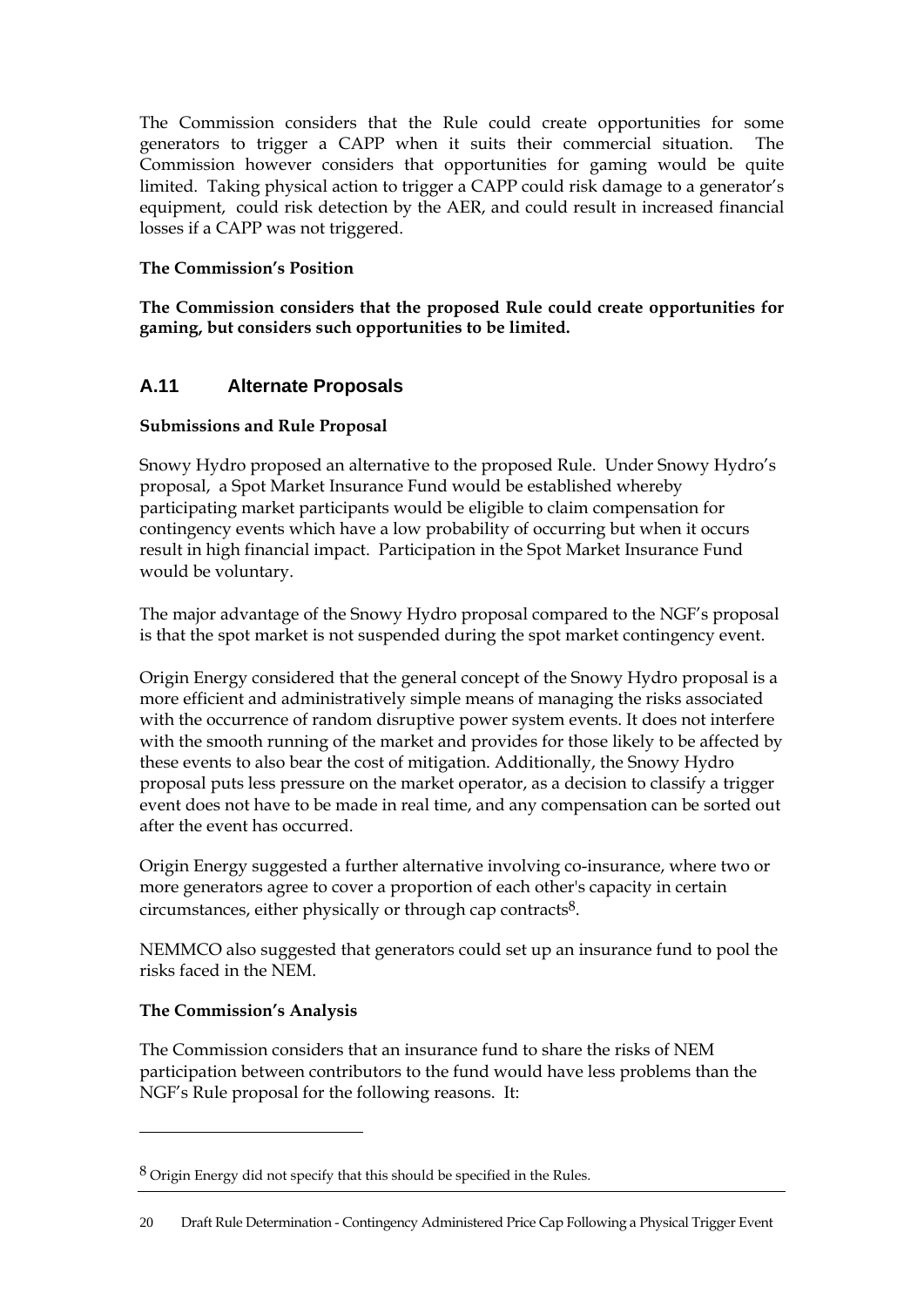The Commission considers that the Rule could create opportunities for some generators to trigger a CAPP when it suits their commercial situation. The Commission however considers that opportunities for gaming would be quite limited. Taking physical action to trigger a CAPP could risk damage to a generator's equipment, could risk detection by the AER, and could result in increased financial losses if a CAPP was not triggered.

## **The Commission's Position**

**The Commission considers that the proposed Rule could create opportunities for gaming, but considers such opportunities to be limited.** 

## **A.11 Alternate Proposals**

## **Submissions and Rule Proposal**

Snowy Hydro proposed an alternative to the proposed Rule. Under Snowy Hydro's proposal, a Spot Market Insurance Fund would be established whereby participating market participants would be eligible to claim compensation for contingency events which have a low probability of occurring but when it occurs result in high financial impact. Participation in the Spot Market Insurance Fund would be voluntary.

The major advantage of the Snowy Hydro proposal compared to the NGF's proposal is that the spot market is not suspended during the spot market contingency event.

Origin Energy considered that the general concept of the Snowy Hydro proposal is a more efficient and administratively simple means of managing the risks associated with the occurrence of random disruptive power system events. It does not interfere with the smooth running of the market and provides for those likely to be affected by these events to also bear the cost of mitigation. Additionally, the Snowy Hydro proposal puts less pressure on the market operator, as a decision to classify a trigger event does not have to be made in real time, and any compensation can be sorted out after the event has occurred.

Origin Energy suggested a further alternative involving co-insurance, where two or more generators agree to cover a proportion of each other's capacity in certain circumstances, either physically or through cap contracts $8$ .

NEMMCO also suggested that generators could set up an insurance fund to pool the risks faced in the NEM.

## **The Commission's Analysis**

<u>.</u>

The Commission considers that an insurance fund to share the risks of NEM participation between contributors to the fund would have less problems than the NGF's Rule proposal for the following reasons. It:

<sup>8</sup> Origin Energy did not specify that this should be specified in the Rules.

<sup>20</sup> Draft Rule Determination - Contingency Administered Price Cap Following a Physical Trigger Event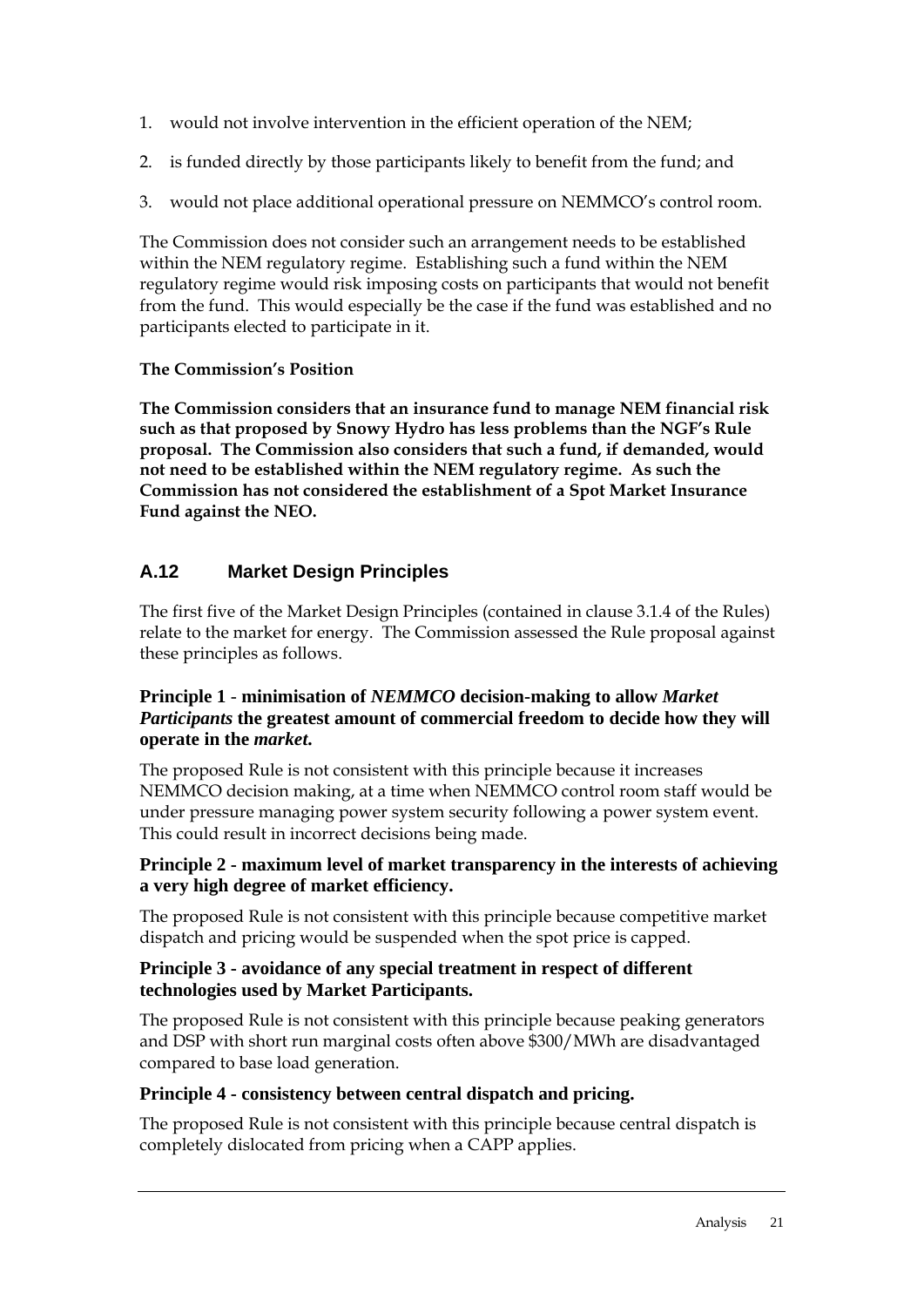- 1. would not involve intervention in the efficient operation of the NEM;
- 2. is funded directly by those participants likely to benefit from the fund; and
- 3. would not place additional operational pressure on NEMMCO's control room.

The Commission does not consider such an arrangement needs to be established within the NEM regulatory regime. Establishing such a fund within the NEM regulatory regime would risk imposing costs on participants that would not benefit from the fund. This would especially be the case if the fund was established and no participants elected to participate in it.

## **The Commission's Position**

**The Commission considers that an insurance fund to manage NEM financial risk such as that proposed by Snowy Hydro has less problems than the NGF's Rule proposal. The Commission also considers that such a fund, if demanded, would not need to be established within the NEM regulatory regime. As such the Commission has not considered the establishment of a Spot Market Insurance Fund against the NEO.** 

# **A.12 Market Design Principles**

The first five of the Market Design Principles (contained in clause 3.1.4 of the Rules) relate to the market for energy. The Commission assessed the Rule proposal against these principles as follows.

## **Principle 1** - **minimisation of** *NEMMCO* **decision-making to allow** *Market Participants* **the greatest amount of commercial freedom to decide how they will operate in the** *market***.**

The proposed Rule is not consistent with this principle because it increases NEMMCO decision making, at a time when NEMMCO control room staff would be under pressure managing power system security following a power system event. This could result in incorrect decisions being made.

## **Principle 2 - maximum level of market transparency in the interests of achieving a very high degree of market efficiency.**

The proposed Rule is not consistent with this principle because competitive market dispatch and pricing would be suspended when the spot price is capped.

## **Principle 3 - avoidance of any special treatment in respect of different technologies used by Market Participants.**

The proposed Rule is not consistent with this principle because peaking generators and DSP with short run marginal costs often above \$300/MWh are disadvantaged compared to base load generation.

## **Principle 4 - consistency between central dispatch and pricing.**

The proposed Rule is not consistent with this principle because central dispatch is completely dislocated from pricing when a CAPP applies.